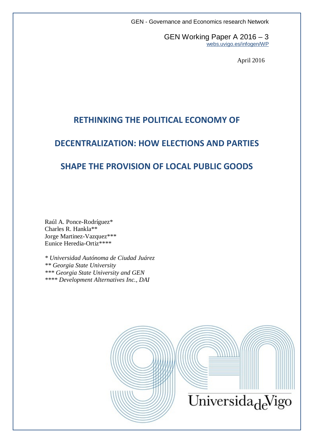GEN - Governance and Economics research Network

GEN Working Paper A 2016 – 3 [webs.uvigo.es/infogen/WP](http://webs.uvigo.es/infogen/WP.htm)

April 2016

# **RETHINKING THE POLITICAL ECONOMY OF**

# **DECENTRALIZATION: HOW ELECTIONS AND PARTIES**

# **SHAPE THE PROVISION OF LOCAL PUBLIC GOODS**

Raúl A. Ponce-Rodríguez\* Charles R. Hankla\*\* Jorge Martinez-Vazquez\*\*\* Eunice Heredia-Ortiz\*\*\*\*

*\* Universidad Autónoma de Ciudad Juárez \*\* Georgia State University \*\*\* Georgia State University and GEN \*\*\*\* Development Alternatives Inc., DAI*

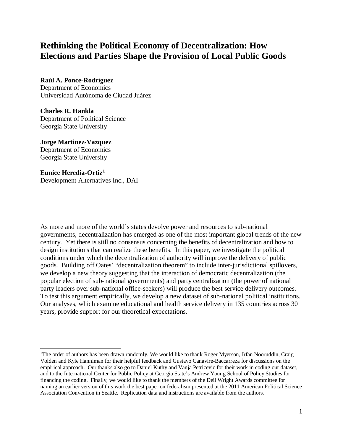# **Rethinking the Political Economy of Decentralization: How Elections and Parties Shape the Provision of Local Public Goods**

## **Raúl A. Ponce-Rodríguez**

Department of Economics Universidad Autónoma de Ciudad Juárez

**Charles R. Hankla** Department of Political Science Georgia State University

### **Jorge Martinez-Vazquez**

Department of Economics Georgia State University

## **Eunice Heredia-Ortiz[1](#page-1-0)**

l

Development Alternatives Inc., DAI

As more and more of the world's states devolve power and resources to sub-national governments, decentralization has emerged as one of the most important global trends of the new century. Yet there is still no consensus concerning the benefits of decentralization and how to design institutions that can realize these benefits. In this paper, we investigate the political conditions under which the decentralization of authority will improve the delivery of public goods. Building off Oates' "decentralization theorem" to include inter-jurisdictional spillovers, we develop a new theory suggesting that the interaction of democratic decentralization (the popular election of sub-national governments) and party centralization (the power of national party leaders over sub-national office-seekers) will produce the best service delivery outcomes. To test this argument empirically, we develop a new dataset of sub-national political institutions. Our analyses, which examine educational and health service delivery in 135 countries across 30 years, provide support for our theoretical expectations.

<span id="page-1-0"></span><sup>&</sup>lt;sup>1</sup>The order of authors has been drawn randomly. We would like to thank Roger Myerson, Irfan Nooruddin, Craig Volden and Kyle Hanniman for their helpful feedback and Gustavo Canavire-Baccarreza for discussions on the empirical approach. Our thanks also go to Daniel Kuthy and Vanja Petricevic for their work in coding our dataset, and to the International Center for Public Policy at Georgia State's Andrew Young School of Policy Studies for financing the coding. Finally, we would like to thank the members of the Deil Wright Awards committee for naming an earlier version of this work the best paper on federalism presented at the 2011 American Political Science Association Convention in Seattle. Replication data and instructions are available from the authors.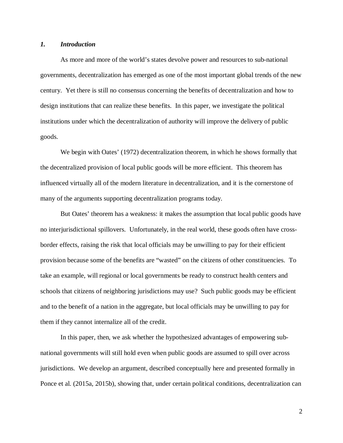### *1. Introduction*

As more and more of the world's states devolve power and resources to sub-national governments, decentralization has emerged as one of the most important global trends of the new century. Yet there is still no consensus concerning the benefits of decentralization and how to design institutions that can realize these benefits. In this paper, we investigate the political institutions under which the decentralization of authority will improve the delivery of public goods.

We begin with Oates' (1972) decentralization theorem, in which he shows formally that the decentralized provision of local public goods will be more efficient. This theorem has influenced virtually all of the modern literature in decentralization, and it is the cornerstone of many of the arguments supporting decentralization programs today.

But Oates' theorem has a weakness: it makes the assumption that local public goods have no interjurisdictional spillovers. Unfortunately, in the real world, these goods often have crossborder effects, raising the risk that local officials may be unwilling to pay for their efficient provision because some of the benefits are "wasted" on the citizens of other constituencies. To take an example, will regional or local governments be ready to construct health centers and schools that citizens of neighboring jurisdictions may use? Such public goods may be efficient and to the benefit of a nation in the aggregate, but local officials may be unwilling to pay for them if they cannot internalize all of the credit.

In this paper, then, we ask whether the hypothesized advantages of empowering subnational governments will still hold even when public goods are assumed to spill over across jurisdictions. We develop an argument, described conceptually here and presented formally in Ponce et al. (2015a, 2015b), showing that, under certain political conditions, decentralization can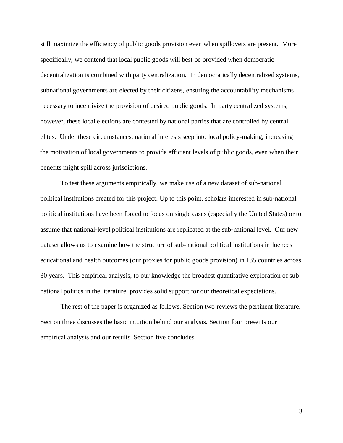still maximize the efficiency of public goods provision even when spillovers are present. More specifically, we contend that local public goods will best be provided when democratic decentralization is combined with party centralization. In democratically decentralized systems, subnational governments are elected by their citizens, ensuring the accountability mechanisms necessary to incentivize the provision of desired public goods. In party centralized systems, however, these local elections are contested by national parties that are controlled by central elites. Under these circumstances, national interests seep into local policy-making, increasing the motivation of local governments to provide efficient levels of public goods, even when their benefits might spill across jurisdictions.

To test these arguments empirically, we make use of a new dataset of sub-national political institutions created for this project. Up to this point, scholars interested in sub-national political institutions have been forced to focus on single cases (especially the United States) or to assume that national-level political institutions are replicated at the sub-national level. Our new dataset allows us to examine how the structure of sub-national political institutions influences educational and health outcomes (our proxies for public goods provision) in 135 countries across 30 years. This empirical analysis, to our knowledge the broadest quantitative exploration of subnational politics in the literature, provides solid support for our theoretical expectations.

The rest of the paper is organized as follows. Section two reviews the pertinent literature. Section three discusses the basic intuition behind our analysis. Section four presents our empirical analysis and our results. Section five concludes.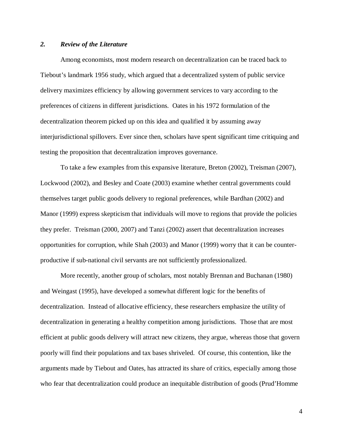### *2. Review of the Literature*

Among economists, most modern research on decentralization can be traced back to Tiebout's landmark 1956 study, which argued that a decentralized system of public service delivery maximizes efficiency by allowing government services to vary according to the preferences of citizens in different jurisdictions. Oates in his 1972 formulation of the decentralization theorem picked up on this idea and qualified it by assuming away interjurisdictional spillovers. Ever since then, scholars have spent significant time critiquing and testing the proposition that decentralization improves governance.

To take a few examples from this expansive literature, Breton (2002), Treisman (2007), Lockwood (2002), and Besley and Coate (2003) examine whether central governments could themselves target public goods delivery to regional preferences, while Bardhan (2002) and Manor (1999) express skepticism that individuals will move to regions that provide the policies they prefer. Treisman (2000, 2007) and Tanzi (2002) assert that decentralization increases opportunities for corruption, while Shah (2003) and Manor (1999) worry that it can be counterproductive if sub-national civil servants are not sufficiently professionalized.

More recently, another group of scholars, most notably Brennan and Buchanan (1980) and Weingast (1995), have developed a somewhat different logic for the benefits of decentralization. Instead of allocative efficiency, these researchers emphasize the utility of decentralization in generating a healthy competition among jurisdictions. Those that are most efficient at public goods delivery will attract new citizens, they argue, whereas those that govern poorly will find their populations and tax bases shriveled. Of course, this contention, like the arguments made by Tiebout and Oates, has attracted its share of critics, especially among those who fear that decentralization could produce an inequitable distribution of goods (Prud'Homme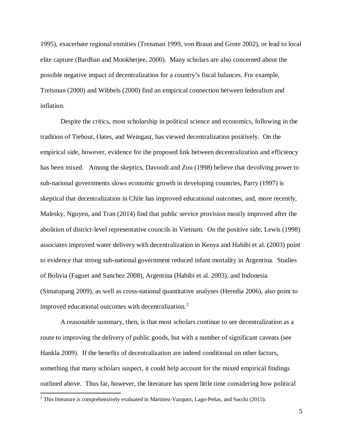1995), exacerbate regional enmities (Treisman 1999, von Braun and Grote 2002), or lead to local elite capture (Bardhan and Mookherjee, 2000). Many scholars are also concerned about the possible negative impact of decentralization for a country's fiscal balances. For example, Treisman (2000) and Wibbels (2000) find an empirical connection between federalism and inflation.

Despite the critics, most scholarship in political science and economics, following in the tradition of Tiebout, Oates, and Weingast, has viewed decentralization positively. On the empirical side, however, evidence for the proposed link between decentralization and efficiency has been mixed. Among the skeptics, Davoodi and Zou (1998) believe that devolving power to sub-national governments slows economic growth in developing countries, Parry (1997) is skeptical that decentralization in Chile has improved educational outcomes, and, more recently, Malesky, Nguyen, and Tran (2014) find that public service provision mostly improved after the abolition of district-level representative councils in Vietnam. On the positive side, Lewis (1998) associates improved water delivery with decentralization in Kenya and Habibi et al. (2003) point to evidence that strong sub-national government reduced infant mortality in Argentina. Studies of Bolivia (Faguet and Sanchez 2008), Argentina (Habibi et al. 2003), and Indonesia (Simatupang 2009), as well as cross-national quantitative analyses (Heredia 2006), also point to improved educational outcomes with decentralization.[2](#page-5-0)

A reasonable summary, then, is that most scholars continue to see decentralization as a route to improving the delivery of public goods, but with a number of significant caveats (see Hankla 2009). If the benefits of decentralization are indeed conditional on other factors, something that many scholars suspect, it could help account for the mixed empirical findings outlined above. Thus far, however, the literature has spent little time considering how political

 $\overline{\phantom{a}}$ 

<span id="page-5-0"></span><sup>2</sup> This literature is comprehensively evaluated in Martinez-Vazquez, Lago-Peñas, and Sacchi (2015).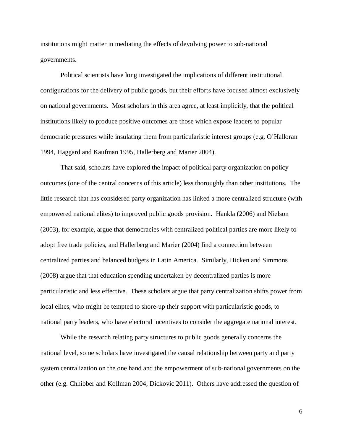institutions might matter in mediating the effects of devolving power to sub-national governments.

Political scientists have long investigated the implications of different institutional configurations for the delivery of public goods, but their efforts have focused almost exclusively on national governments. Most scholars in this area agree, at least implicitly, that the political institutions likely to produce positive outcomes are those which expose leaders to popular democratic pressures while insulating them from particularistic interest groups (e.g. O'Halloran 1994, Haggard and Kaufman 1995, Hallerberg and Marier 2004).

That said, scholars have explored the impact of political party organization on policy outcomes (one of the central concerns of this article) less thoroughly than other institutions. The little research that has considered party organization has linked a more centralized structure (with empowered national elites) to improved public goods provision. Hankla (2006) and Nielson (2003), for example, argue that democracies with centralized political parties are more likely to adopt free trade policies, and Hallerberg and Marier (2004) find a connection between centralized parties and balanced budgets in Latin America. Similarly, Hicken and Simmons (2008) argue that that education spending undertaken by decentralized parties is more particularistic and less effective. These scholars argue that party centralization shifts power from local elites, who might be tempted to shore-up their support with particularistic goods, to national party leaders, who have electoral incentives to consider the aggregate national interest.

While the research relating party structures to public goods generally concerns the national level, some scholars have investigated the causal relationship between party and party system centralization on the one hand and the empowerment of sub-national governments on the other (e.g. Chhibber and Kollman 2004; Dickovic 2011). Others have addressed the question of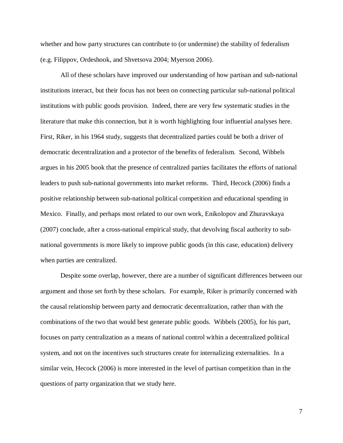whether and how party structures can contribute to (or undermine) the stability of federalism (e.g. Filippov, Ordeshook, and Shvetsova 2004; Myerson 2006).

All of these scholars have improved our understanding of how partisan and sub-national institutions interact, but their focus has not been on connecting particular sub-national political institutions with public goods provision. Indeed, there are very few systematic studies in the literature that make this connection, but it is worth highlighting four influential analyses here. First, Riker, in his 1964 study, suggests that decentralized parties could be both a driver of democratic decentralization and a protector of the benefits of federalism. Second, Wibbels argues in his 2005 book that the presence of centralized parties facilitates the efforts of national leaders to push sub-national governments into market reforms. Third, Hecock (2006) finds a positive relationship between sub-national political competition and educational spending in Mexico. Finally, and perhaps most related to our own work, Enikolopov and Zhuravskaya (2007) conclude, after a cross-national empirical study, that devolving fiscal authority to subnational governments is more likely to improve public goods (in this case, education) delivery when parties are centralized.

Despite some overlap, however, there are a number of significant differences between our argument and those set forth by these scholars. For example, Riker is primarily concerned with the causal relationship between party and democratic decentralization, rather than with the combinations of the two that would best generate public goods. Wibbels (2005), for his part, focuses on party centralization as a means of national control within a decentralized political system, and not on the incentives such structures create for internalizing externalities. In a similar vein, Hecock (2006) is more interested in the level of partisan competition than in the questions of party organization that we study here.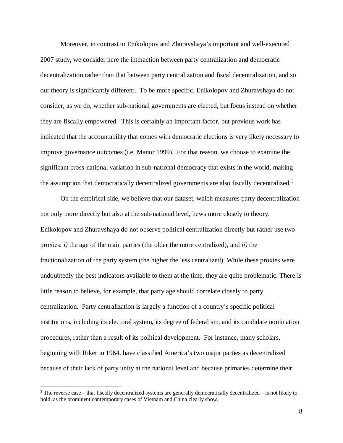Moreover, in contrast to Enikolopov and Zhuravshaya's important and well-executed 2007 study, we consider here the interaction between party centralization and democratic decentralization rather than that between party centralization and fiscal decentralization, and so our theory is significantly different. To be more specific, Enikolopov and Zhuravshaya do not consider, as we do, whether sub-national governments are elected, but focus instead on whether they are fiscally empowered. This is certainly an important factor, but previous work has indicated that the accountability that comes with democratic elections is very likely necessary to improve governance outcomes (i.e. Manor 1999). For that reason, we choose to examine the significant cross-national variation in sub-national democracy that exists in the world, making the assumption that democratically decentralized governments are also fiscally decentralized.<sup>[3](#page-8-0)</sup>

On the empirical side, we believe that our dataset, which measures party decentralization not only more directly but also at the sub-national level, hews more closely to theory. Enikolopov and Zhuravshaya do not observe political centralization directly but rather use two proxies: *i)* the age of the main parties (the older the more centralized), and *ii)* the fractionalization of the party system (the higher the less centralized). While these proxies were undoubtedly the best indicators available to them at the time, they are quite problematic. There is little reason to believe, for example, that party age should correlate closely to party centralization. Party centralization is largely a function of a country's specific political institutions, including its electoral system, its degree of federalism, and its candidate nomination procedures, rather than a result of its political development. For instance, many scholars, beginning with Riker in 1964, have classified America's two major parties as decentralized because of their lack of party unity at the national level and because primaries determine their

l

<span id="page-8-0"></span><sup>3</sup> The reverse case – that fiscally decentralized systems are generally democratically decentralized – is not likely to hold, as the prominent contemporary cases of Vietnam and China clearly show.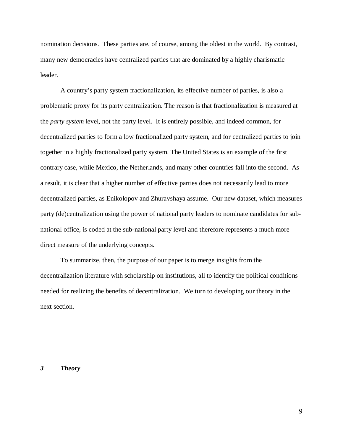nomination decisions. These parties are, of course, among the oldest in the world. By contrast, many new democracies have centralized parties that are dominated by a highly charismatic leader.

A country's party system fractionalization, its effective number of parties, is also a problematic proxy for its party centralization. The reason is that fractionalization is measured at the *party system* level, not the party level. It is entirely possible, and indeed common, for decentralized parties to form a low fractionalized party system, and for centralized parties to join together in a highly fractionalized party system. The United States is an example of the first contrary case, while Mexico, the Netherlands, and many other countries fall into the second. As a result, it is clear that a higher number of effective parties does not necessarily lead to more decentralized parties, as Enikolopov and Zhuravshaya assume.Our new dataset, which measures party (de)centralization using the power of national party leaders to nominate candidates for subnational office, is coded at the sub-national party level and therefore represents a much more direct measure of the underlying concepts.

To summarize, then, the purpose of our paper is to merge insights from the decentralization literature with scholarship on institutions, all to identify the political conditions needed for realizing the benefits of decentralization. We turn to developing our theory in the next section.

#### *3 Theory*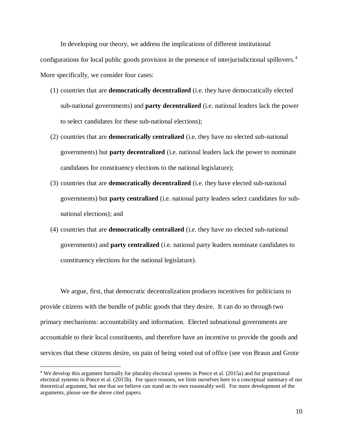In developing our theory, we address the implications of different institutional configurations for local public goods provision in the presence of interjurisdictional spillovers. [4](#page-10-0) More specifically, we consider four cases:

- (1) countries that are **democratically decentralized** (i.e. they have democratically elected sub-national governments) and **party decentralized** (i.e. national leaders lack the power to select candidates for these sub-national elections);
- (2) countries that are **democratically centralized** (i.e. they have no elected sub-national governments) but **party decentralized** (i.e. national leaders lack the power to nominate candidates for constituency elections to the national legislature);
- (3) countries that are **democratically decentralized** (i.e. they have elected sub-national governments) but **party centralized** (i.e. national party leaders select candidates for subnational elections); and
- (4) countries that are **democratically centralized** (i.e. they have no elected sub-national governments) and **party centralized** (i.e. national party leaders nominate candidates to constituency elections for the national legislature).

We argue, first, that democratic decentralization produces incentives for politicians to provide citizens with the bundle of public goods that they desire. It can do so through two primary mechanisms: accountability and information. Elected subnational governments are accountable to their local constituents, and therefore have an incentive to provide the goods and services that these citizens desire, on pain of being voted out of office (see von Braun and Grote

<span id="page-10-0"></span> <sup>4</sup> We develop this argument formally for plurality electoral systems in Ponce et al. (2015a) and for proportional electoral systems in Ponce et al. (2015b). For space reasons, we limit ourselves here to a conceptual summary of our theoretical argument, but one that we believe can stand on its own reasonably well. For more development of the arguments, please see the above cited papers.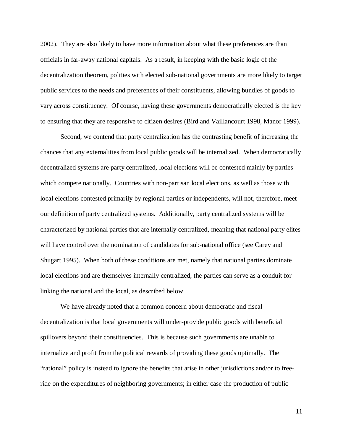2002). They are also likely to have more information about what these preferences are than officials in far-away national capitals. As a result, in keeping with the basic logic of the decentralization theorem, polities with elected sub-national governments are more likely to target public services to the needs and preferences of their constituents, allowing bundles of goods to vary across constituency. Of course, having these governments democratically elected is the key to ensuring that they are responsive to citizen desires (Bird and Vaillancourt 1998, Manor 1999).

Second, we contend that party centralization has the contrasting benefit of increasing the chances that any externalities from local public goods will be internalized. When democratically decentralized systems are party centralized, local elections will be contested mainly by parties which compete nationally. Countries with non-partisan local elections, as well as those with local elections contested primarily by regional parties or independents, will not, therefore, meet our definition of party centralized systems. Additionally, party centralized systems will be characterized by national parties that are internally centralized, meaning that national party elites will have control over the nomination of candidates for sub-national office (see Carey and Shugart 1995). When both of these conditions are met, namely that national parties dominate local elections and are themselves internally centralized, the parties can serve as a conduit for linking the national and the local, as described below.

We have already noted that a common concern about democratic and fiscal decentralization is that local governments will under-provide public goods with beneficial spillovers beyond their constituencies. This is because such governments are unable to internalize and profit from the political rewards of providing these goods optimally. The "rational" policy is instead to ignore the benefits that arise in other jurisdictions and/or to freeride on the expenditures of neighboring governments; in either case the production of public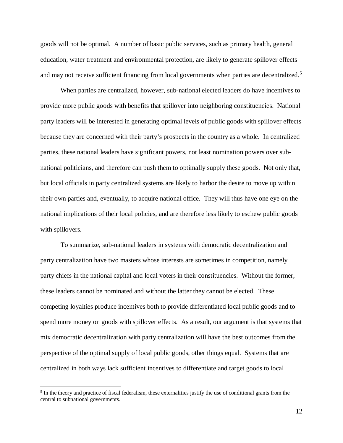goods will not be optimal. A number of basic public services, such as primary health, general education, water treatment and environmental protection, are likely to generate spillover effects and may not receive sufficient financing from local governments when parties are decentralized.<sup>[5](#page-12-0)</sup>

When parties are centralized, however, sub-national elected leaders do have incentives to provide more public goods with benefits that spillover into neighboring constituencies. National party leaders will be interested in generating optimal levels of public goods with spillover effects because they are concerned with their party's prospects in the country as a whole. In centralized parties, these national leaders have significant powers, not least nomination powers over subnational politicians, and therefore can push them to optimally supply these goods. Not only that, but local officials in party centralized systems are likely to harbor the desire to move up within their own parties and, eventually, to acquire national office. They will thus have one eye on the national implications of their local policies, and are therefore less likely to eschew public goods with spillovers.

To summarize, sub-national leaders in systems with democratic decentralization and party centralization have two masters whose interests are sometimes in competition, namely party chiefs in the national capital and local voters in their constituencies. Without the former, these leaders cannot be nominated and without the latter they cannot be elected. These competing loyalties produce incentives both to provide differentiated local public goods and to spend more money on goods with spillover effects. As a result, our argument is that systems that mix democratic decentralization with party centralization will have the best outcomes from the perspective of the optimal supply of local public goods, other things equal. Systems that are centralized in both ways lack sufficient incentives to differentiate and target goods to local

l

<span id="page-12-0"></span><sup>&</sup>lt;sup>5</sup> In the theory and practice of fiscal federalism, these externalities justify the use of conditional grants from the central to subnational governments.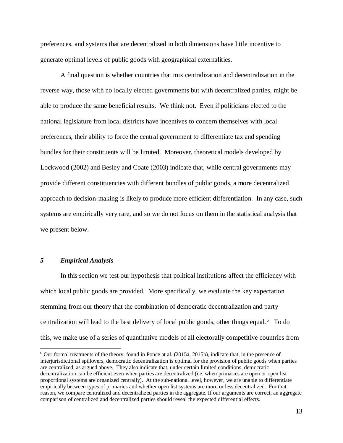preferences, and systems that are decentralized in both dimensions have little incentive to generate optimal levels of public goods with geographical externalities.

A final question is whether countries that mix centralization and decentralization in the reverse way, those with no locally elected governments but with decentralized parties, might be able to produce the same beneficial results. We think not. Even if politicians elected to the national legislature from local districts have incentives to concern themselves with local preferences, their ability to force the central government to differentiate tax and spending bundles for their constituents will be limited. Moreover, theoretical models developed by Lockwood (2002) and Besley and Coate (2003) indicate that, while central governments may provide different constituencies with different bundles of public goods, a more decentralized approach to decision-making is likely to produce more efficient differentiation. In any case, such systems are empirically very rare, and so we do not focus on them in the statistical analysis that we present below.

#### *5 Empirical Analysis*

l

In this section we test our hypothesis that political institutions affect the efficiency with which local public goods are provided. More specifically, we evaluate the key expectation stemming from our theory that the combination of democratic decentralization and party centralization will lead to the best delivery of local public goods, other things equal.<sup>[6](#page-13-0)</sup> To do this, we make use of a series of quantitative models of all electorally competitive countries from

<span id="page-13-0"></span> $6$  Our formal treatments of the theory, found in Ponce at al. (2015a, 2015b), indicate that, in the presence of interjurisdictional spillovers, democratic decentralization is optimal for the provision of public goods when parties are centralized, as argued above. They also indicate that, under certain limited conditions, democratic decentralization can be efficient even when parties are decentralized (i.e. when primaries are open or open list proportional systems are organized centrally). At the sub-national level, however, we are unable to differentiate empirically between types of primaries and whether open list systems are more or less decentralized. For that reason, we compare centralized and decentralized parties in the aggregate. If our arguments are correct, an aggregate comparison of centralized and decentralized parties should reveal the expected differential effects.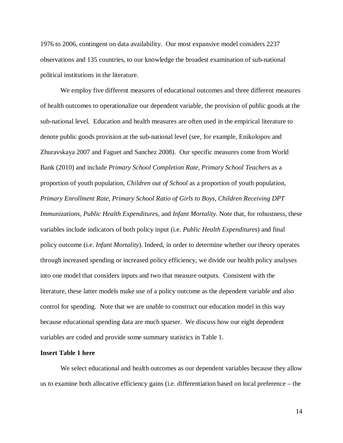1976 to 2006, contingent on data availability. Our most expansive model considers 2237 observations and 135 countries, to our knowledge the broadest examination of sub-national political institutions in the literature.

We employ five different measures of educational outcomes and three different measures of health outcomes to operationalize our dependent variable, the provision of public goods at the sub-national level. Education and health measures are often used in the empirical literature to denote public goods provision at the sub-national level (see, for example, Enikolopov and Zhuravskaya 2007 and Faguet and Sanchez 2008). Our specific measures come from World Bank (2010) and include *Primary School Completion Rate*, *Primary School Teachers* as a proportion of youth population, *Children out of School* as a proportion of youth population, *Primary Enrollment Rate*, *Primary School Ratio of Girls to Boys, Children Receiving DPT Immunizations, Public Health Expenditures,* and *Infant Mortality*. Note that, for robustness, these variables include indicators of both policy input (i.e. *Public Health Expenditures*) and final policy outcome (i.e. *Infant Mortality*). Indeed, in order to determine whether our theory operates through increased spending or increased policy efficiency, we divide our health policy analyses into one model that considers inputs and two that measure outputs. Consistent with the literature, these latter models make use of a policy outcome as the dependent variable and also control for spending. Note that we are unable to construct our education model in this way because educational spending data are much sparser. We discuss how our eight dependent variables are coded and provide some summary statistics in Table 1.

#### **Insert Table 1 here**

We select educational and health outcomes as our dependent variables because they allow us to examine both allocative efficiency gains (i.e. differentiation based on local preference – the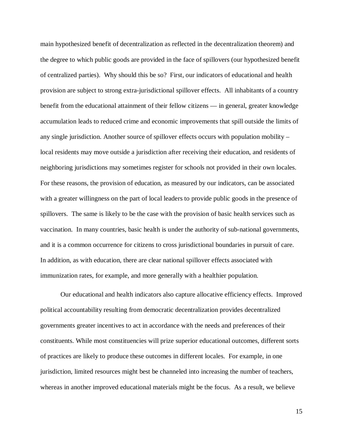main hypothesized benefit of decentralization as reflected in the decentralization theorem) and the degree to which public goods are provided in the face of spillovers (our hypothesized benefit of centralized parties). Why should this be so? First, our indicators of educational and health provision are subject to strong extra-jurisdictional spillover effects. All inhabitants of a country benefit from the educational attainment of their fellow citizens — in general, greater knowledge accumulation leads to reduced crime and economic improvements that spill outside the limits of any single jurisdiction. Another source of spillover effects occurs with population mobility – local residents may move outside a jurisdiction after receiving their education, and residents of neighboring jurisdictions may sometimes register for schools not provided in their own locales. For these reasons, the provision of education, as measured by our indicators, can be associated with a greater willingness on the part of local leaders to provide public goods in the presence of spillovers. The same is likely to be the case with the provision of basic health services such as vaccination. In many countries, basic health is under the authority of sub-national governments, and it is a common occurrence for citizens to cross jurisdictional boundaries in pursuit of care. In addition, as with education, there are clear national spillover effects associated with immunization rates, for example, and more generally with a healthier population.

Our educational and health indicators also capture allocative efficiency effects. Improved political accountability resulting from democratic decentralization provides decentralized governments greater incentives to act in accordance with the needs and preferences of their constituents. While most constituencies will prize superior educational outcomes, different sorts of practices are likely to produce these outcomes in different locales. For example, in one jurisdiction, limited resources might best be channeled into increasing the number of teachers, whereas in another improved educational materials might be the focus. As a result, we believe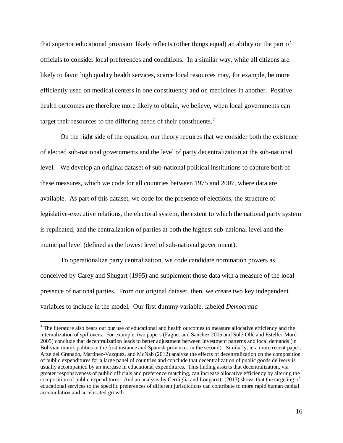that superior educational provision likely reflects (other things equal) an ability on the part of officials to consider local preferences and conditions. In a similar way, while all citizens are likely to favor high quality health services, scarce local resources may, for example, be more efficiently used on medical centers in one constituency and on medicines in another. Positive health outcomes are therefore more likely to obtain, we believe, when local governments can target their resources to the differing needs of their constituents.[7](#page-16-0)

On the right side of the equation, our theory requires that we consider both the existence of elected sub-national governments and the level of party decentralization at the sub-national level. We develop an original dataset of sub-national political institutions to capture both of these measures, which we code for all countries between 1975 and 2007, where data are available. As part of this dataset, we code for the presence of elections, the structure of legislative-executive relations, the electoral system, the extent to which the national party system is replicated, and the centralization of parties at both the highest sub-national level and the municipal level (defined as the lowest level of sub-national government).

To operationalize party centralization, we code candidate nomination powers as conceived by Carey and Shugart (1995) and supplement those data with a measure of the local presence of national parties. From our original dataset, then, we create two key independent variables to include in the model. Our first dummy variable, labeled *Democratic* 

<span id="page-16-0"></span> <sup>7</sup> The literature also bears out our use of educational and health outcomes to measure allocative efficiency and the internalization of spillovers. For example, two papers (Faguet and Sanchez 2005 and Solé-Ollé and Esteller-Moré 2005) conclude that decentralization leads to better adjustment between investment patterns and local demands (in Bolivian municipalities in the first instance and Spanish provinces in the second). Similarly, in a more recent paper, Arze del Granado, Martinez-Vazquez, and McNab (2012) analyze the effects of decentralization on the composition of public expenditures for a large panel of countries and conclude that decentralization of public goods delivery is usually accompanied by an increase in educational expenditures. This finding asserts that decentralization, via greater responsiveness of public officials and preference matching, can increase allocative efficiency by altering the composition of public expenditures. And an analysis by Cerniglia and Longaretti (2013) shows that the targeting of educational services to the specific preferences of different jurisdictions can contribute to more rapid human capital accumulation and accelerated growth.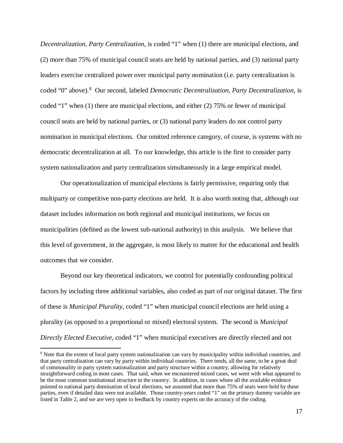*Decentralization, Party Centralization*, is coded "1" when (1) there are municipal elections, and (2) more than 75% of municipal council seats are held by national parties, and (3) national party leaders exercise centralized power over municipal party nomination (i.e. party centralization is coded "0" above).<sup>[8](#page-17-0)</sup> Our second, labeled *Democratic Decentralization, Party Decentralization*, is coded "1" when (1) there are municipal elections, and either (2) 75% or fewer of municipal council seats are held by national parties, or (3) national party leaders do not control party nomination in municipal elections. Our omitted reference category, of course, is systems with no democratic decentralization at all. To our knowledge, this article is the first to consider party system nationalization and party centralization simultaneously in a large empirical model.

Our operationalization of municipal elections is fairly permissive, requiring only that multiparty or competitive non-party elections are held. It is also worth noting that, although our dataset includes information on both regional and municipal institutions, we focus on municipalities (defined as the lowest sub-national authority) in this analysis. We believe that this level of government, in the aggregate, is most likely to matter for the educational and health outcomes that we consider.

Beyond our key theoretical indicators, we control for potentially confounding political factors by including three additional variables, also coded as part of our original dataset. The first of these is *Municipal Plurality,* coded "1" when municipal council elections are held using a plurality (as opposed to a proportional or mixed) electoral system. The second is *Municipal Directly Elected Executive,* coded "1" when municipal executives are directly elected and not

l

<span id="page-17-0"></span><sup>&</sup>lt;sup>8</sup> Note that the extent of local party system nationalization can vary by municipality within individual countries, and that party centralization can vary by party within individual countries. There tends, all the same, to be a great deal of commonality in party system nationalization and party structure within a country, allowing for relatively straightforward coding in most cases. That said, when we encountered mixed cases, we went with what appeared to be the most common institutional structure in the country. In addition, in cases where all the available evidence pointed to national party domination of local elections, we assumed that more than 75% of seats were held by these parties, even if detailed data were not available. Those country-years coded "1" on the primary dummy variable are listed in Table 2, and we are very open to feedback by country experts on the accuracy of the coding.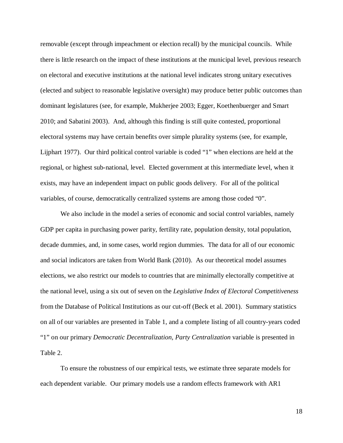removable (except through impeachment or election recall) by the municipal councils. While there is little research on the impact of these institutions at the municipal level, previous research on electoral and executive institutions at the national level indicates strong unitary executives (elected and subject to reasonable legislative oversight) may produce better public outcomes than dominant legislatures (see, for example, Mukherjee 2003; Egger, Koethenbuerger and Smart 2010; and Sabatini 2003). And, although this finding is still quite contested, proportional electoral systems may have certain benefits over simple plurality systems (see, for example, Lijphart 1977). Our third political control variable is coded "1" when elections are held at the regional, or highest sub-national, level. Elected government at this intermediate level, when it exists, may have an independent impact on public goods delivery. For all of the political variables, of course, democratically centralized systems are among those coded "0".

We also include in the model a series of economic and social control variables, namely GDP per capita in purchasing power parity, fertility rate, population density, total population, decade dummies, and, in some cases, world region dummies. The data for all of our economic and social indicators are taken from World Bank (2010). As our theoretical model assumes elections, we also restrict our models to countries that are minimally electorally competitive at the national level, using a six out of seven on the *Legislative Index of Electoral Competitiveness* from the Database of Political Institutions as our cut-off (Beck et al. 2001). Summary statistics on all of our variables are presented in Table 1, and a complete listing of all country-years coded "1" on our primary *Democratic Decentralization, Party Centralization* variable is presented in Table 2.

To ensure the robustness of our empirical tests, we estimate three separate models for each dependent variable. Our primary models use a random effects framework with AR1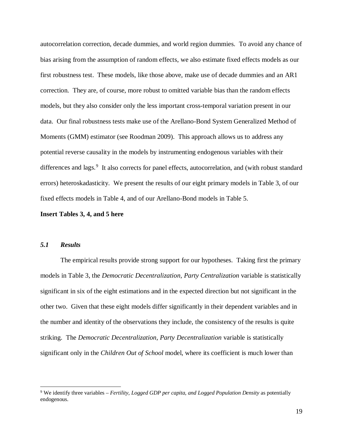autocorrelation correction, decade dummies, and world region dummies. To avoid any chance of bias arising from the assumption of random effects, we also estimate fixed effects models as our first robustness test. These models, like those above, make use of decade dummies and an AR1 correction. They are, of course, more robust to omitted variable bias than the random effects models, but they also consider only the less important cross-temporal variation present in our data. Our final robustness tests make use of the Arellano-Bond System Generalized Method of Moments (GMM) estimator (see Roodman 2009). This approach allows us to address any potential reverse causality in the models by instrumenting endogenous variables with their differences and lags.<sup>[9](#page-19-0)</sup> It also corrects for panel effects, autocorrelation, and (with robust standard errors) heteroskadasticity. We present the results of our eight primary models in Table 3, of our fixed effects models in Table 4, and of our Arellano-Bond models in Table 5.

### **Insert Tables 3, 4, and 5 here**

#### *5.1 Results*

l

The empirical results provide strong support for our hypotheses. Taking first the primary models in Table 3, the *Democratic Decentralization, Party Centralization* variable is statistically significant in six of the eight estimations and in the expected direction but not significant in the other two. Given that these eight models differ significantly in their dependent variables and in the number and identity of the observations they include, the consistency of the results is quite striking. The *Democratic Decentralization, Party Decentralization* variable is statistically significant only in the *Children Out of School* model, where its coefficient is much lower than

<span id="page-19-0"></span><sup>9</sup> We identify three variables – *Fertility, Logged GDP per capita, and Logged Population Density* as potentially endogenous.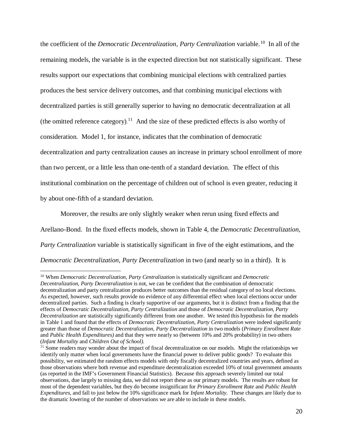the coefficient of the *Democratic Decentralization, Party Centralization* variable. [10](#page-20-0) In all of the remaining models, the variable is in the expected direction but not statistically significant. These results support our expectations that combining municipal elections with centralized parties produces the best service delivery outcomes, and that combining municipal elections with decentralized parties is still generally superior to having no democratic decentralization at all (the omitted reference category).<sup>11</sup> And the size of these predicted effects is also worthy of consideration. Model 1, for instance, indicates that the combination of democratic decentralization and party centralization causes an increase in primary school enrollment of more than two percent, or a little less than one-tenth of a standard deviation. The effect of this institutional combination on the percentage of children out of school is even greater, reducing it by about one-fifth of a standard deviation.

Moreover, the results are only slightly weaker when rerun using fixed effects and Arellano-Bond. In the fixed effects models, shown in Table 4, the *Democratic Decentralization, Party Centralization* variable is statistically significant in five of the eight estimations, and the *Democratic Decentralization, Party Decentralization* in two (and nearly so in a third). It is

l

<span id="page-20-0"></span><sup>10</sup> When *Democratic Decentralization, Party Centralization* is statistically significant and *Democratic Decentralization, Party Decentralization* is not, we can be confident that the combination of democratic decentralization and party centralization produces better outcomes than the residual category of no local elections. As expected, however, such results provide no evidence of any differential effect when local elections occur under decentralized parties. Such a finding is clearly supportive of our arguments, but it is distinct from a finding that the effects of *Democratic Decentralization, Party Centralization* and those of *Democratic Decentralization, Party Decentralization* are statistically significantly different from one another. We tested this hypothesis for the models in Table 1 and found that the effects of *Democratic Decentralization, Party Centralization* were indeed significantly greater than those of *Democratic Decentralization, Party Decentralization* in two models (*Primary Enrollment Rate* and *Public Health Expenditures)* and that they were nearly so (between 10% and 20% probability) in two others (*Infant Mortality* and *Children Out of School).*

<span id="page-20-1"></span> $11$  Some readers may wonder about the impact of fiscal decentralization on our models. Might the relationships we identify only matter when local governments have the financial power to deliver public goods? To evaluate this possibility, we estimated the random effects models with only fiscally decentralized countries and years, defined as those observations where both revenue and expenditure decentralization exceeded 10% of total government amounts (as reported in the IMF's Government Financial Statistics). Because this approach severely limited our total observations, due largely to missing data, we did not report these as our primary models. The results are robust for most of the dependent variables, but they do become insignificant for *Primary Enrollment Rate* and *Public Health Expenditures,* and fall to just below the 10% significance mark for *Infant Mortality.* These changes are likely due to the dramatic lowering of the number of observations we are able to include in these models.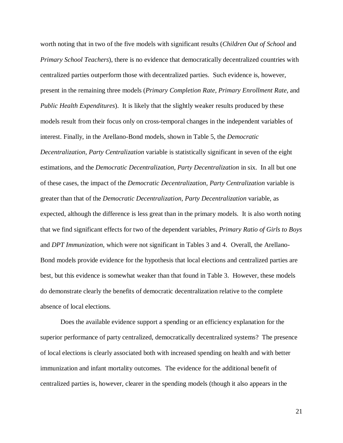worth noting that in two of the five models with significant results (*Children Out of School* and *Primary School Teachers*), there is no evidence that democratically decentralized countries with centralized parties outperform those with decentralized parties. Such evidence is, however, present in the remaining three models (*Primary Completion Rate, Primary Enrollment Rate,* and *Public Health Expenditures*). It is likely that the slightly weaker results produced by these models result from their focus only on cross-temporal changes in the independent variables of interest. Finally, in the Arellano-Bond models, shown in Table 5, the *Democratic Decentralization, Party Centralization* variable is statistically significant in seven of the eight estimations, and the *Democratic Decentralization, Party Decentralization* in six. In all but one of these cases, the impact of the *Democratic Decentralization, Party Centralization* variable is greater than that of the *Democratic Decentralization, Party Decentralization* variable, as expected, although the difference is less great than in the primary models. It is also worth noting that we find significant effects for two of the dependent variables, *Primary Ratio of Girls to Boys*  and *DPT Immunization,* which were not significant in Tables 3 and 4. Overall, the Arellano-Bond models provide evidence for the hypothesis that local elections and centralized parties are best, but this evidence is somewhat weaker than that found in Table 3. However, these models do demonstrate clearly the benefits of democratic decentralization relative to the complete absence of local elections.

Does the available evidence support a spending or an efficiency explanation for the superior performance of party centralized, democratically decentralized systems? The presence of local elections is clearly associated both with increased spending on health and with better immunization and infant mortality outcomes. The evidence for the additional benefit of centralized parties is, however, clearer in the spending models (though it also appears in the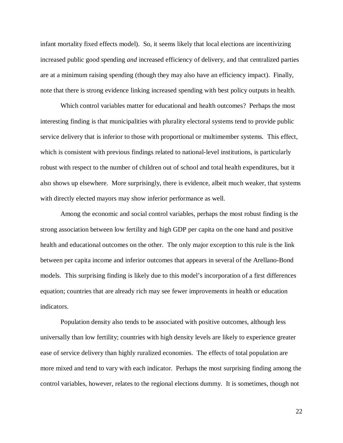infant mortality fixed effects model). So, it seems likely that local elections are incentivizing increased public good spending *and* increased efficiency of delivery, and that centralized parties are at a minimum raising spending (though they may also have an efficiency impact). Finally, note that there is strong evidence linking increased spending with best policy outputs in health.

Which control variables matter for educational and health outcomes? Perhaps the most interesting finding is that municipalities with plurality electoral systems tend to provide public service delivery that is inferior to those with proportional or multimember systems. This effect, which is consistent with previous findings related to national-level institutions, is particularly robust with respect to the number of children out of school and total health expenditures, but it also shows up elsewhere. More surprisingly, there is evidence, albeit much weaker, that systems with directly elected mayors may show inferior performance as well.

Among the economic and social control variables, perhaps the most robust finding is the strong association between low fertility and high GDP per capita on the one hand and positive health and educational outcomes on the other. The only major exception to this rule is the link between per capita income and inferior outcomes that appears in several of the Arellano-Bond models. This surprising finding is likely due to this model's incorporation of a first differences equation; countries that are already rich may see fewer improvements in health or education indicators.

Population density also tends to be associated with positive outcomes, although less universally than low fertility; countries with high density levels are likely to experience greater ease of service delivery than highly ruralized economies. The effects of total population are more mixed and tend to vary with each indicator. Perhaps the most surprising finding among the control variables, however, relates to the regional elections dummy. It is sometimes, though not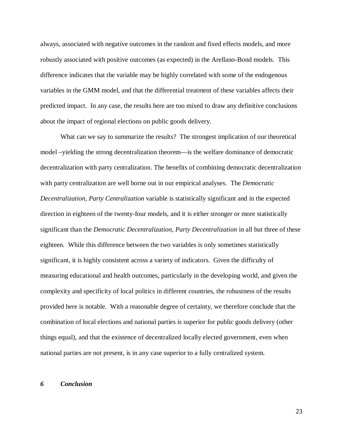always, associated with negative outcomes in the random and fixed effects models, and more robustly associated with positive outcomes (as expected) in the Arellano-Bond models. This difference indicates that the variable may be highly correlated with some of the endogenous variables in the GMM model, and that the differential treatment of these variables affects their predicted impact. In any case, the results here are too mixed to draw any definitive conclusions about the impact of regional elections on public goods delivery.

What can we say to summarize the results? The strongest implication of our theoretical model –yielding the strong decentralization theorem—is the welfare dominance of democratic decentralization with party centralization. The benefits of combining democratic decentralization with party centralization are well borne out in our empirical analyses. The *Democratic Decentralization, Party Centralization* variable is statistically significant and in the expected direction in eighteen of the twenty-four models, and it is either stronger or more statistically significant than the *Democratic Decentralization, Party Decentralization* in all but three of these eighteen. While this difference between the two variables is only sometimes statistically significant, it is highly consistent across a variety of indicators. Given the difficulty of measuring educational and health outcomes, particularly in the developing world, and given the complexity and specificity of local politics in different countries, the robustness of the results provided here is notable. With a reasonable degree of certainty, we therefore conclude that the combination of local elections and national parties is superior for public goods delivery (other things equal), and that the existence of decentralized locally elected government, even when national parties are not present, is in any case superior to a fully centralized system.

#### *6 Conclusion*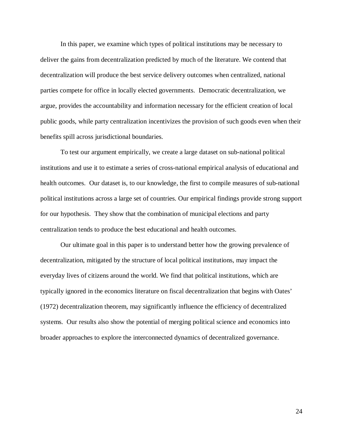In this paper, we examine which types of political institutions may be necessary to deliver the gains from decentralization predicted by much of the literature. We contend that decentralization will produce the best service delivery outcomes when centralized, national parties compete for office in locally elected governments. Democratic decentralization, we argue, provides the accountability and information necessary for the efficient creation of local public goods, while party centralization incentivizes the provision of such goods even when their benefits spill across jurisdictional boundaries.

To test our argument empirically, we create a large dataset on sub-national political institutions and use it to estimate a series of cross-national empirical analysis of educational and health outcomes. Our dataset is, to our knowledge, the first to compile measures of sub-national political institutions across a large set of countries. Our empirical findings provide strong support for our hypothesis. They show that the combination of municipal elections and party centralization tends to produce the best educational and health outcomes.

Our ultimate goal in this paper is to understand better how the growing prevalence of decentralization, mitigated by the structure of local political institutions, may impact the everyday lives of citizens around the world. We find that political institutions, which are typically ignored in the economics literature on fiscal decentralization that begins with Oates' (1972) decentralization theorem, may significantly influence the efficiency of decentralized systems. Our results also show the potential of merging political science and economics into broader approaches to explore the interconnected dynamics of decentralized governance.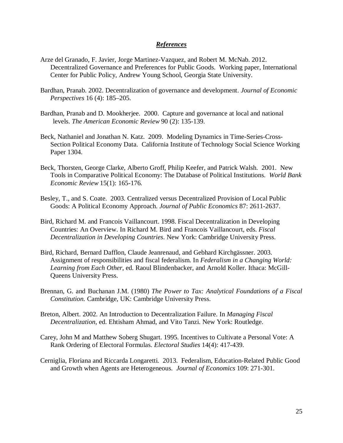### *References*

- Arze del Granado, F. Javier, Jorge Martinez-Vazquez, and Robert M. McNab. 2012. Decentralized Governance and Preferences for Public Goods. Working paper, International Center for Public Policy, Andrew Young School, Georgia State University.
- Bardhan, Pranab. 2002. Decentralization of governance and development. *Journal of Economic Perspectives* 16 (4): 185–205.
- Bardhan, Pranab and D. Mookherjee. 2000. Capture and governance at local and national levels. *The American Economic Review* 90 (2): 135-139.
- Beck, Nathaniel and Jonathan N. Katz. 2009. Modeling Dynamics in Time-Series-Cross-Section Political Economy Data. California Institute of Technology Social Science Working Paper 1304.
- Beck, Thorsten, George Clarke, Alberto Groff, Philip Keefer, and Patrick Walsh. 2001. New Tools in Comparative Political Economy: The Database of Political Institutions. *World Bank Economic Review* 15(1): 165-176.
- Besley, T., and S. Coate. 2003. Centralized versus Decentralized Provision of Local Public Goods: A Political Economy Approach. *Journal of Public Economics* 87: 2611-2637.
- Bird, Richard M. and Francois Vaillancourt. 1998. Fiscal Decentralization in Developing Countries: An Overview. In Richard M. Bird and Francois Vaillancourt, eds. *Fiscal Decentralization in Developing Countries*. New York: Cambridge University Press.
- Bird, Richard, Bernard Dafflon, Claude Jeanrenaud, and Gebhard Kirchgässner. 2003. Assignment of responsibilities and fiscal federalism. In *Federalism in a Changing World: Learning from Each Other*, ed. Raoul Blindenbacker, and Arnold Koller. Ithaca: McGill-Queens University Press.
- Brennan, G. and Buchanan J.M. (1980) *The Power to Tax: Analytical Foundations of a Fiscal Constitution.* Cambridge, UK: Cambridge University Press.
- Breton, Albert. 2002. An Introduction to Decentralization Failure. In *Managing Fiscal Decentralization*, ed. Ehtisham Ahmad, and Vito Tanzi. New York: Routledge.
- Carey, John M and Matthew Soberg Shugart. 1995. Incentives to Cultivate a Personal Vote: A Rank Ordering of Electoral Formulas. *Electoral Studies* 14(4): 417-439.
- Cerniglia, Floriana and Riccarda Longaretti. 2013. Federalism, Education-Related Public Good and Growth when Agents are Heterogeneous. *Journal of Economics* 109: 271-301.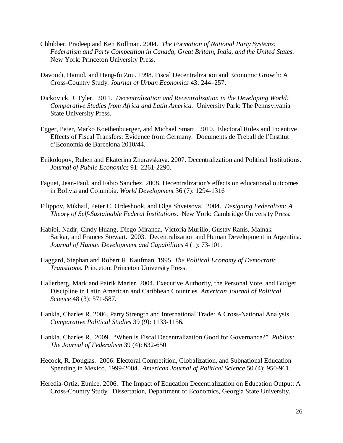- Chhibber, Pradeep and Ken Kollman. 2004. *The Formation of National Party Systems: Federalism and Party Competition in Canada, Great Britain, India, and the United States.* New York: Princeton University Press.
- Davoodi, Hamid, and Heng-fu Zou. 1998. Fiscal Decentralization and Economic Growth: A Cross-Country Study. *Journal of Urban Economics* 43: 244–257.
- Dickovick, J. Tyler. 2011. *Decentralization and Recentralization in the Developing World: Comparative Studies from Africa and Latin America.* University Park: The Pennsylvania State University Press.
- Egger, Peter, Marko Koethenbuerger, and Michael Smart. 2010. Electoral Rules and Incentive Effects of Fiscal Transfers: Evidence from Germany. Documents de Treball de l'Institut d'Economia de Barcelona 2010/44.
- Enikolopov, Ruben and Ekaterina Zhuravskaya. 2007. Decentralization and Political Institutions. *Journal of Public Economics* 91: 2261-2290.
- Faguet, Jean-Paul, and Fabio Sanchez. 2008. Decentralization's effects on educational outcomes in Bolivia and Columbia. *World Development* 36 (7): 1294-1316
- Filippov, Mikhail, Peter C. Ordeshook, and Olga Shvetsova. 2004. *Designing Federalism: A Theory of Self-Sustainable Federal Institutions*. New York: Cambridge University Press.
- Habibi, Nadir, Cindy Huang, Diego Miranda, Victoria Murillo, Gustav Ranis, Mainak Sarkar, and Frances Stewart. 2003. Decentralization and Human Development in Argentina. *Journal of Human Development and Capabilities* 4 (1): 73-101.
- Haggard, Stephan and Robert R. Kaufman. 1995. *The Political Economy of Democratic Transitions.* Princeton: Princeton University Press.
- Hallerberg, Mark and Patrik Marier. 2004. Executive Authority, the Personal Vote, and Budget Discipline in Latin American and Caribbean Countries. *American Journal of Political Science* 48 (3): 571-587.
- Hankla, Charles R. 2006. Party Strength and International Trade: A Cross-National Analysis. *Comparative Political Studies* 39 (9): 1133-1156.
- Hankla. Charles R. 2009. "When is Fiscal Decentralization Good for Governance?" *Publius: The Journal of Federalism* 39 (4): 632-650
- Hecock, R. Douglas. 2006. Electoral Competition, Globalization, and Subnational Education Spending in Mexico, 1999-2004. *American Journal of Political Science* 50 (4): 950-961.
- Heredia-Ortiz, Eunice. 2006. The Impact of Education Decentralization on Education Output: A Cross-Country Study. Dissertation, Department of Economics, Georgia State University.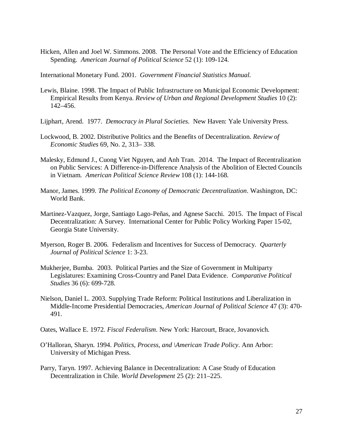Hicken, Allen and Joel W. Simmons. 2008. The Personal Vote and the Efficiency of Education Spending. *American Journal of Political Science* 52 (1): 109-124.

International Monetary Fund. 2001. *Government Financial Statistics Manual.* 

- Lewis, Blaine. 1998. The Impact of Public Infrastructure on Municipal Economic Development: Empirical Results from Kenya. *Review of Urban and Regional Development Studies* 10 (2): 142–456.
- Lijphart, Arend. 1977. *Democracy in Plural Societies*. New Haven: Yale University Press.
- Lockwood, B. 2002. Distributive Politics and the Benefits of Decentralization. *Review of Economic Studies* 69, No. 2, 313– 338.
- Malesky, Edmund J., Cuong Viet Nguyen, and Anh Tran. 2014. The Impact of Recentralization on Public Services: A Difference-in-Difference Analysis of the Abolition of Elected Councils in Vietnam. *American Political Science Review* 108 (1): 144-168.
- Manor, James. 1999. *The Political Economy of Democratic Decentralization*. Washington, DC: World Bank.
- Martinez-Vazquez, Jorge, Santiago Lago-Peñas, and Agnese Sacchi. 2015. The Impact of Fiscal Decentralization: A Survey. International Center for Public Policy Working Paper 15-02, Georgia State University.
- Myerson, Roger B. 2006. Federalism and Incentives for Success of Democracy. *Quarterly Journal of Political Science* 1: 3-23.
- Mukherjee, Bumba. 2003. Political Parties and the Size of Government in Multiparty Legislatures: Examining Cross-Country and Panel Data Evidence. *Comparative Political Studies* 36 (6): 699-728.
- Nielson, Daniel L. 2003. Supplying Trade Reform: Political Institutions and Liberalization in Middle-Income Presidential Democracies, *American Journal of Political Science* 47 (3): 470- 491.
- Oates, Wallace E. 1972. *Fiscal Federalism*. New York: Harcourt, Brace, Jovanovich.
- O'Halloran, Sharyn. 1994. *Politics, Process, and \American Trade Policy*. Ann Arbor: University of Michigan Press.
- Parry, Taryn. 1997. Achieving Balance in Decentralization: A Case Study of Education Decentralization in Chile. *World Development* 25 (2): 211–225.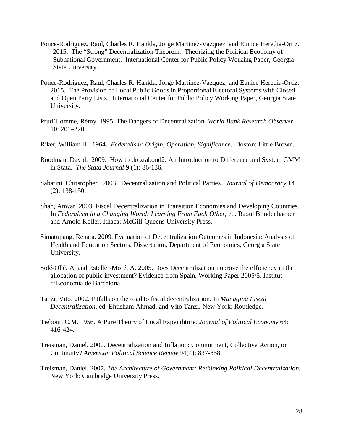- Ponce-Rodriguez, Raul, Charles R. Hankla, Jorge Martinez-Vazquez, and Eunice Heredia-Ortiz. 2015. The "Strong" Decentralization Theorem: Theorizing the Political Economy of Subnational Government. International Center for Public Policy Working Paper, Georgia State University..
- Ponce-Rodriguez, Raul, Charles R. Hankla, Jorge Martinez-Vazquez, and Eunice Heredia-Ortiz. 2015. The Provision of Local Public Goods in Proportional Electoral Systems with Closed and Open Party Lists. International Center for Public Policy Working Paper, Georgia State University.
- Prud'Homme, Rémy. 1995. The Dangers of Decentralization. *World Bank Research Observer* 10: 201–220.
- Riker, William H. 1964. *Federalism: Origin, Operation, Significance.* Boston: Little Brown.
- Roodman, David. 2009. How to do xtabond2: An Introduction to Difference and System GMM in Stata. *The Stata Journal* 9 (1): 86-136.
- Sabatini, Christopher. 2003. Decentralization and Political Parties. *Journal of Democracy* 14 (2): 138-150.
- Shah, Anwar. 2003. Fiscal Decentralization in Transition Economies and Developing Countries. In *Federalism in a Changing World: Learning From Each Other*, ed. Raoul Blindenbacker and Arnold Koller. Ithaca: McGill-Queens University Press.
- Simatupang, Renata. 2009. Evaluation of Decentralization Outcomes in Indonesia: Analysis of Health and Education Sectors. Dissertation, Department of Economics, Georgia State University.
- Solé-Ollé, A. and Esteller-Moré, A. 2005. Does Decentralization improve the efficiency in the allocation of public investment? Evidence from Spain, Working Paper 2005/5, Institut d'Economia de Barcelona.
- Tanzi, Vito. 2002. Pitfalls on the road to fiscal decentralization. In *Managing Fiscal Decentralization*, ed. Ehtisham Ahmad, and Vito Tanzi. New York: Routledge.
- Tiebout, C.M. 1956. A Pure Theory of Local Expenditure*. Journal of Political Economy* 64: 416-424.
- Treisman, Daniel. 2000. Decentralization and Inflation: Commitment, Collective Action, or Continuity? *American Political Science Review* 94(4): 837-858.
- Treisman, Daniel. 2007. *The Architecture of Government: Rethinking Political Decentralization.*  New York: Cambridge University Press.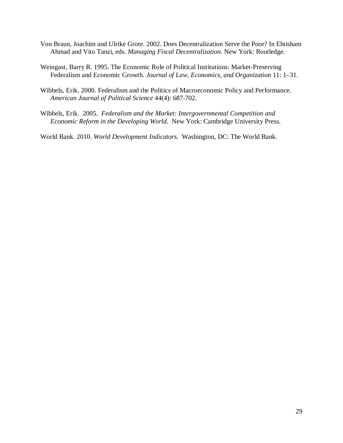- Von Braun, Joachim and Ulrike Grote. 2002. Does Decentralization Serve the Poor? In Ehtisham Ahmad and Vito Tanzi, eds. *Managing Fiscal Decentralization*. New York: Routledge.
- Weingast, Barry R. 1995. The Economic Role of Political Institutions: Market-Preserving Federalism and Economic Growth. *Journal of Law, Economics, and Organization* 11: 1–31.
- Wibbels, Erik. 2000. Federalism and the Politics of Macroeconomic Policy and Performance. *American Journal of Political Science* 44(4): 687-702.
- Wibbels, Erik. 2005. *Federalism and the Market: Intergovernmental Competition and Economic Reform in the Developing World.* New York: Cambridge University Press.

World Bank. 2010. *World Development Indicators.* Washington, DC: The World Bank.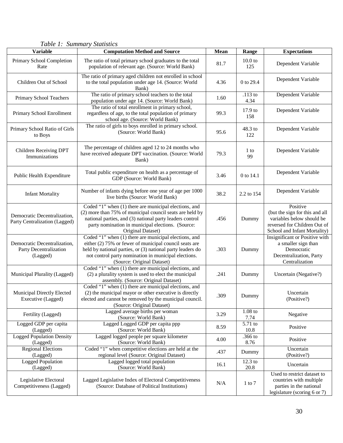| <b>Variable</b>                                                                                                                                            | <b>Computation Method and Source</b>                                                                                                                                                                                                                                | Mean                   | Range                     | <b>Expectations</b>                                                                                                                     |  |  |
|------------------------------------------------------------------------------------------------------------------------------------------------------------|---------------------------------------------------------------------------------------------------------------------------------------------------------------------------------------------------------------------------------------------------------------------|------------------------|---------------------------|-----------------------------------------------------------------------------------------------------------------------------------------|--|--|
| Primary School Completion<br>Rate                                                                                                                          | The ratio of total primary school graduates to the total<br>population of relevant age. (Source: World Bank)                                                                                                                                                        | 81.7                   | 10.0 <sub>to</sub><br>125 | Dependent Variable                                                                                                                      |  |  |
| Children Out of School                                                                                                                                     | The ratio of primary aged children not enrolled in school<br>to the total population under age 14. (Source: World<br>Bank)                                                                                                                                          | 4.36                   | 0 to 29.4                 | Dependent Variable                                                                                                                      |  |  |
| Primary School Teachers                                                                                                                                    | The ratio of primary school teachers to the total<br>population under age 14. (Source: World Bank)                                                                                                                                                                  | 1.60                   | .113 to<br>4.34           | Dependent Variable                                                                                                                      |  |  |
| Primary School Enrollment                                                                                                                                  | The ratio of total enrollment in primary school,<br>regardless of age, to the total population of primary<br>school age. (Source: World Bank)                                                                                                                       | 99.3                   | 17.9 to<br>158            | Dependent Variable                                                                                                                      |  |  |
| Primary School Ratio of Girls<br>to Boys                                                                                                                   | The ratio of girls to boys enrolled in primary school.<br>(Source: World Bank)                                                                                                                                                                                      | 48.3 to<br>95.6<br>122 |                           |                                                                                                                                         |  |  |
| Children Receiving DPT<br>Immunizations                                                                                                                    | The percentage of children aged 12 to 24 months who<br>have received adequate DPT vaccination. (Source: World<br>Bank)                                                                                                                                              | 79.3                   | $1$ to<br>99              | Dependent Variable                                                                                                                      |  |  |
| Public Health Expenditure                                                                                                                                  | Total public expenditure on health as a percentage of<br>GDP (Source: World Bank)                                                                                                                                                                                   | 3.46                   | 0 to 14.1                 | Dependent Variable                                                                                                                      |  |  |
| <b>Infant Mortality</b>                                                                                                                                    | Number of infants dying before one year of age per 1000<br>live births (Source: World Bank)                                                                                                                                                                         | 38.2                   | 2.2 to 154                | Dependent Variable                                                                                                                      |  |  |
| Democratic Decentralization,<br>Party Centralization (Lagged)                                                                                              | Coded "1" when (1) there are municipal elections, and<br>(2) more than 75% of municipal council seats are held by<br>national parties, and (3) national party leaders control<br>party nomination in municipal elections. (Source:<br>Original Dataset)             | .456                   | Dummy                     | Positive<br>(but the sign for this and all<br>variables below should be<br>reversed for Children Out of<br>School and Infant Mortality) |  |  |
| Democratic Decentralization,<br>Party Decentralization<br>(Lagged)                                                                                         | Coded "1" when (1) there are municipal elections, and<br>either (2) 75% or fewer of municipal council seats are<br>held by national parties, or (3) national party leaders do<br>not control party nomination in municipal elections.<br>(Source: Original Dataset) | .303<br>Dummy          |                           | Insignificant or Positive with<br>a smaller sign than<br>Democratic<br>Decentralization, Party<br>Centralization                        |  |  |
| Municipal Plurality (Lagged)                                                                                                                               | Coded "1" when (1) there are municipal elections, and<br>(2) a plurality system is used to elect the municipal<br>assembly. (Source: Original Dataset)                                                                                                              | .241                   | Dummy                     | Uncertain (Negative?)                                                                                                                   |  |  |
| Municipal Directly Elected<br>Executive (Lagged)                                                                                                           | Coded "1" when (1) there are municipal elections, and<br>(2) the municipal mayor or other executive is directly<br>309<br>elected and cannot be removed by the municipal council.<br>(Source: Original Dataset)                                                     |                        | Dummy                     | Uncertain<br>(Positive?)                                                                                                                |  |  |
| Fertility (Lagged)                                                                                                                                         | Lagged average births per woman<br>(Source: World Bank)                                                                                                                                                                                                             | 3.29                   | $1.08$ to<br>7.74         | Negative                                                                                                                                |  |  |
| Logged GDP per capita<br>(Lagged)                                                                                                                          | Lagged Logged GDP per capita ppp<br>(Source: World Bank)                                                                                                                                                                                                            | 8.59                   | $5.71$ to<br>10.8         | Positive                                                                                                                                |  |  |
| Logged Population Density<br>(Lagged)                                                                                                                      | Lagged logged people per square kilometer<br>(Source: World Bank)                                                                                                                                                                                                   | 4.00                   | .366 to<br>8.76           | Positive                                                                                                                                |  |  |
| <b>Regional Elections</b><br>(Lagged)                                                                                                                      | Coded "1" when competitive elections are held at the<br>regional level (Source: Original Dataset)                                                                                                                                                                   | .437                   | Dummy                     | Uncertain<br>(Positive?)                                                                                                                |  |  |
| Logged Population<br>(Lagged)                                                                                                                              | Lagged logged total population<br>(Source: World Bank)                                                                                                                                                                                                              | 16.1                   | $12.3$ to<br>20.8         | Uncertain                                                                                                                               |  |  |
| Legislative Electoral<br>Lagged Legislative Index of Electoral Competitiveness<br>Competitiveness (Lagged)<br>(Source: Database of Political Institutions) |                                                                                                                                                                                                                                                                     | N/A                    | $1$ to $7$                | Used to restrict dataset to<br>countries with multiple<br>parties in the national<br>legislature (scoring 6 or 7)                       |  |  |

## *Table 1: Summary Statistics*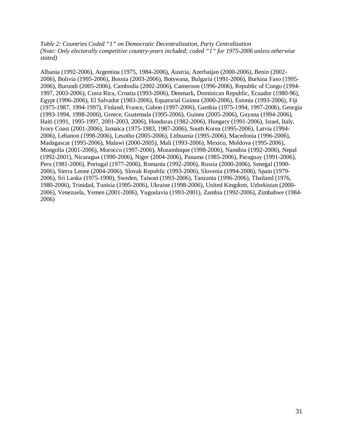*Table 2: Countries Coded "1" on Democratic Decentralization, Party Centralization (Note: Only electorally competitive country-years included; coded "1" for 1975-2006 unless otherwise stated)*

Albania (1992-2006), Argentina (1975, 1984-2006), Austria, Azerbaijan (2000-2006), Benin (2002- 2006), Bolivia (1995-2006), Bosnia (2003-2006), Botswana, Bulgaria (1991-2006), Burkina Faso (1995- 2006), Burundi (2005-2006), Cambodia (2002-2006), Cameroon (1996-2006), Republic of Congo (1994- 1997, 2003-2006), Costa Rica, Croatia (1993-2006), Denmark, Dominican Republic, Ecuador (1980-96), Egypt (1996-2006), El Salvador (1983-2006), Equatorial Guinea (2000-2006), Estonia (1993-2006), Fiji (1975-1987, 1994-1997), Finland, France, Gabon (1997-2006), Gambia (1975-1994, 1997-2006), Georgia (1993-1994, 1998-2006), Greece, Guatemala (1995-2006), Guinea (2005-2006), Guyana (1994-2006), Haiti (1991, 1995-1997, 2001-2003, 2006), Honduras (1982-2006), Hungary (1991-2006), Israel, Italy, Ivory Coast (2001-2006), Jamaica (1975-1983, 1987-2006), South Korea (1995-2006), Latvia (1994- 2006), Lebanon (1998-2006), Lesotho (2005-2006), Lithuania (1995-2006), Macedonia (1996-2006), Madagascar (1995-2006), Malawi (2000-2005), Mali (1993-2006), Mexico, Moldova (1995-2006), Mongolia (2001-2006), Morocco (1997-2006), Mozambique (1998-2006), Namibia (1992-2006), Nepal (1992-2001), Nicaragua (1990-2006), Niger (2004-2006), Panama (1985-2006), Paraguay (1991-2006), Peru (1981-2006), Portugal (1977-2006), Romania (1992-2006), Russia (2000-2006), Senegal (1990- 2006), Sierra Leone (2004-2006), Slovak Republic (1993-2006), Slovenia (1994-2006), Spain (1979- 2006), Sri Lanka (1975-1990), Sweden, Taiwan (1993-2006), Tanzania (1996-2006), Thailand (1976, 1980-2006), Trinidad, Tunisia (1995-2006), Ukraine (1998-2006), United Kingdom, Uzbekistan (2000- 2006), Venezuela, Yemen (2001-2006), Yugoslavia (1993-2001), Zambia (1992-2006), Zimbabwe (1984- 2006)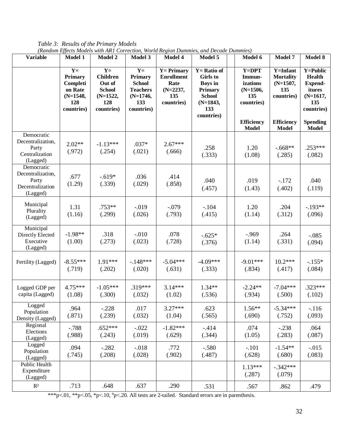| <b>Variable</b>                                                          | <b>Model 1</b>                                                            | <b>Model 2</b>                                                                        | Model 3                                                                                | <i>(Kanaom Djjecis models min rikt correction, worderlegton Dummes, and Decide Dummes)</i><br>Model 4 | Model 5                                                                                                            | Model 6                                                                                                 | Model 7                                                                                                     | Model 8                                                                                                                            |
|--------------------------------------------------------------------------|---------------------------------------------------------------------------|---------------------------------------------------------------------------------------|----------------------------------------------------------------------------------------|-------------------------------------------------------------------------------------------------------|--------------------------------------------------------------------------------------------------------------------|---------------------------------------------------------------------------------------------------------|-------------------------------------------------------------------------------------------------------------|------------------------------------------------------------------------------------------------------------------------------------|
|                                                                          | $Y=$<br>Primary<br>Completi<br>on Rate<br>$(N=1548,$<br>128<br>countries) | $Y=$<br><b>Children</b><br>Out of<br><b>School</b><br>$(N=1522,$<br>128<br>countries) | $Y=$<br>Primary<br><b>School</b><br><b>Teachers</b><br>$(N=1746,$<br>133<br>countries) | $Y = Primary$<br><b>Enrollment</b><br>Rate<br>$(N=2237,$<br>135<br>countries)                         | $Y = Ratio of$<br><b>Girls</b> to<br><b>Boys</b> in<br>Primary<br><b>School</b><br>$(N=1843,$<br>133<br>countries) | $Y = DPT$<br>Immun-<br>izations<br>$(N=1506,$<br>135<br>countries)<br><b>Efficiency</b><br><b>Model</b> | <b>Y=Infant</b><br><b>Mortality</b><br>$(N=1507,$<br>135<br>countries)<br><b>Efficiency</b><br><b>Model</b> | <b>Y=Public</b><br><b>Health</b><br><b>Expend-</b><br>itures<br>$(N=1617,$<br>135<br>countries)<br><b>Spending</b><br><b>Model</b> |
| Democratic<br>Decentralization,<br>Party<br>Centralization<br>(Lagged)   | $2.02**$<br>(.972)                                                        | $-1.13***$<br>(.254)                                                                  | $.037*$<br>(.021)                                                                      | $2.67***$<br>(.666)                                                                                   | .258<br>(.333)                                                                                                     | 1.20<br>(1.08)                                                                                          | $-.668**$<br>(.285)                                                                                         | .253***<br>(.082)                                                                                                                  |
| Democratic<br>Decentralization,<br>Party<br>Decentralization<br>(Lagged) | .677<br>(1.29)                                                            | $-.619*$<br>(.339)                                                                    | .036<br>(.029)                                                                         | .414<br>(.858)                                                                                        | .040<br>(.457)                                                                                                     | .019<br>(1.43)                                                                                          | $-.172$<br>(.402)                                                                                           | .040<br>(.119)                                                                                                                     |
| Municipal<br>Plurality<br>(Lagged)                                       | 1.31<br>(1.16)                                                            | .753**<br>(.299)                                                                      | $-0.019$<br>(.026)                                                                     | $-.079$<br>(.793)                                                                                     | $-.104$<br>(.415)                                                                                                  | 1.20<br>(1.14)                                                                                          | .204<br>(.312)                                                                                              | $-.193**$<br>(.096)                                                                                                                |
| Municipal<br><b>Directly Elected</b><br>Executive<br>(Lagged)            | $-1.98**$<br>(1.00)                                                       | .318<br>(.273)                                                                        | $-.010$<br>(.023)                                                                      | .078<br>(.728)                                                                                        | $-.625*$<br>(.376)                                                                                                 | $-0.969$<br>(1.14)                                                                                      | .264<br>(.331)                                                                                              | $-.085$<br>(.094)                                                                                                                  |
| Fertility (Lagged)                                                       | $-8.55***$<br>(.719)                                                      | $1.91***$<br>(.202)                                                                   | $-.148***$<br>(.020)                                                                   | $-5.04***$<br>(.631)                                                                                  | $-4.09***$<br>(.333)                                                                                               | $-9.01***$<br>(.834)                                                                                    | $10.2***$<br>(.417)                                                                                         | $-.155*$<br>(.084)                                                                                                                 |
| Logged GDP per<br>capita (Lagged)                                        | 4.75***<br>(1.08)                                                         | $-1.05***$<br>(.300)                                                                  | $.319***$<br>(.032)                                                                    | $3.14***$<br>(1.02)                                                                                   | $1.34**$<br>(.536)                                                                                                 | $-2.24**$<br>(.934)                                                                                     | $-7.04***$<br>(.500)                                                                                        | $.323***$<br>(.102)                                                                                                                |
| Logged<br>Population<br>Density (Lagged)                                 | .964<br>(.871)                                                            | $-.228$<br>(.239)                                                                     | .017<br>(.032)                                                                         | $3.27***$<br>(1.04)                                                                                   | .623<br>(.565)                                                                                                     | $1.56**$<br>(.690)                                                                                      | $-5.34***$<br>(.752)                                                                                        | $-.116$<br>(.093)                                                                                                                  |
| Regional<br>Elections<br>(Lagged)                                        | $-.788$<br>(.988)                                                         | $.652***$<br>(.243)                                                                   | $-.022$<br>(.019)                                                                      | $-1.82***$<br>(.629)                                                                                  | $-414$<br>(.344)                                                                                                   | .074<br>(1.05)                                                                                          | $-.238$<br>(.283)                                                                                           | .064<br>(.087)                                                                                                                     |
| Logged<br>Population<br>(Lagged)                                         | .094<br>(.745)                                                            | $-.282$<br>(.208)                                                                     | $-.018$<br>(.028)                                                                      | .772<br>(.902)                                                                                        | $-.580$<br>(.487)                                                                                                  | $-.101$<br>(.628)                                                                                       | $-1.54**$<br>(.680)                                                                                         | $-0.015$<br>(.083)                                                                                                                 |
| Public Health<br>Expenditure<br>(Lagged)                                 |                                                                           |                                                                                       |                                                                                        |                                                                                                       |                                                                                                                    | $1.13***$<br>(.287)                                                                                     | $-.342***$<br>(.079)                                                                                        |                                                                                                                                    |
| $\mathbb{R}^2$                                                           | .713                                                                      | .648                                                                                  | .637                                                                                   | .290                                                                                                  | .531                                                                                                               | .567                                                                                                    | .862                                                                                                        | .479                                                                                                                               |

*Table 3: Results of the Primary Models (Random Effects Models with AR1 Correction, World Region Dummies, and Decade Dummies)*

\*\*\*p<.01, \*\*p<.05, \*p<.10, ªp<.20. All tests are 2-tailed. Standard errors are in parenthesis.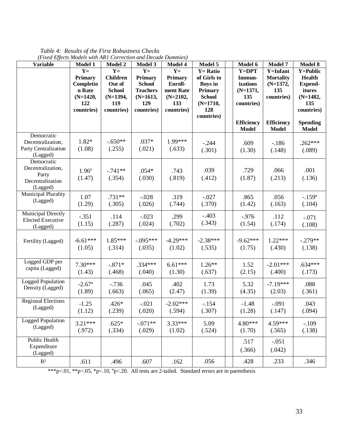**Variable Model 1 Model 2 Model 3 Model 4 Model 5 Model 6 Model 7 Model 8 Y= Primary Completio n Rate (N=1420, 122 countries) Y= Children Out of School (N=1394, 119 countries) Y= Primary School Teachers (N=1613, 129 countries) Y= Primary Enrollment Rate (N=2102, 133 countries) Y= Ratio of Girls to Boys in Primary School (N=1710, 128 countries) Y=DPT Immunizations (N=1371, 135 countries) Efficiency Model Y=Infant Mortality (N=1372, 135 countries) Efficiency Model Y=Public Health Expenditures (N=1482, 135 countries) Spending Model** Democratic Decentralization, Party Centralization (Lagged) 1.82\* (1.08)  $-.650**$ (.255) .037\* (.021) 1.99\*\*\*  $\begin{array}{c|c} 1.99*** & -0.244 \\ (0.633) & (0.301) \end{array}$ (.301) .609 (1.30) -.186 (.148) .262\*\*\* (.089) Democratic Decentralization, Party Decentralization (Lagged) 1.96ª (1.47)  $-.741**$ (.354) .054\* (.030) .743 (.819) .039 (.412) .729 (1.87) .066 (.213) .001 (.136) Municipal Plurality  $\begin{array}{c|c}\n\text{Lipai run any} & 1.07 \\
\text{(Laged)} & (1.20)\n\end{array}$ (1.29) .731\*\* (.305) -.028 (.026) .319 (.744) -.027 (.370) .865 (1.42) .056 (.163) -.159ª (.104) Municipal Directly Elected Executive (Lagged) -.351 (1.15) .114 (.287) -.023 (.024) .299 (.702) -.403  $-.403$   $-.976$ <br> $(.343)$   $(1.54)$ (1.54) .112  $\begin{array}{c|c} .112 & .071 \\ .174 & .108 \end{array}$ (.108) Fertility (Lagged)  $\left| \right. -6.61***$  $(1.05)$ 1.85\*\*\* (.314) -.095\*\*\* (.035) -4.29\*\*\* (1.02) -2.38\*\*\* (.535) -9.62\*\*\* (1.75) 1.22\*\*\* (.430) -.279\*\* (.138) Logged GDP per Logged GDP per<br>capita (Lagged)  $(1.12)$ (1.43) -.871\* (.468) .334\*\*\* (.040) 6.61\*\*\* (1.30) 1.26\*\* (.637) 1.52 (2.15)  $-2.01***$ (.400) .634\*\*\* (.173) Logged Population  $\frac{2.67^{\text{a}}}{2.67^{\text{a}}}$ <br>Density (Lagged)  $\frac{-2.67^{\text{a}}}{2.60^{\text{a}}}$ (1.89) -.736 (.663) .045 (.065) .402 (2.47) 1.73 (1.39) 5.32 (4.35) -7.19\*\*\* (2.03) .088 (.361) Regional Elections  $(Lagger$   $-1.25$ <br> $(Lagger)$   $(1.12)$ (1.12) .426\* (.239) -.021 (.020)  $-2.02***$ (.594) -.154 (.307) -1.48 (1.28) -.091 (.147) .043 (.094) Logged Population Equivalently  $3.21***$ <br>(Lagged)  $3.21***$ (.972) .625\* (.334)  $-.071**$ (.029) 3.33\*\*\* (1.02) 5.09 (.524) 4.80\*\*\* (1.70) 4.59\*\*\*  $(.565)$ -.109 (.138) Public Health Expenditure (Lagged) .517 (.366) -.051 (.042) 346. | 233. | 162. | 162. | 162. | 162. | 163. | .233. | .607. | .496. | .346

*Table 4: Results of the First Robustness Checks (Fixed Effects Models with AR1 Correction and Decade Dummies)*

\*\*\*p<.01, \*\*p<.05, \*p<.10,  ${}^{a}p$  <.20. All tests are 2-tailed. Standard errors are in parenthesis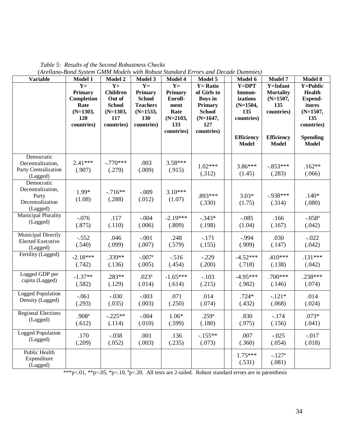*Table 5: Results of the Second Robustness Checks (Arellano-Bond System GMM Models with Robust Standard Errors and Decade Dummies)*

| <b>Variable</b>                                                          | <i><u><b>PH</b> Chano Dona Dysicht Ginni inoucle min Robhst Standard Divols and Deceme Diminities</u></i><br><b>Model 1</b> | <b>Model 2</b>                                                                        | Model 3                                                                                | Model 4                                                                              | Model 5                                                                                                            | Model 6                                                                                                 | Model 7                                                                                                     | Model 8                                                                                                                     |
|--------------------------------------------------------------------------|-----------------------------------------------------------------------------------------------------------------------------|---------------------------------------------------------------------------------------|----------------------------------------------------------------------------------------|--------------------------------------------------------------------------------------|--------------------------------------------------------------------------------------------------------------------|---------------------------------------------------------------------------------------------------------|-------------------------------------------------------------------------------------------------------------|-----------------------------------------------------------------------------------------------------------------------------|
|                                                                          | $Y=$<br>Primary<br>Completion<br>Rate<br>$(N=1303,$<br>120<br>countries)                                                    | $Y=$<br><b>Children</b><br>Out of<br><b>School</b><br>$(N=1303,$<br>117<br>countries) | $Y=$<br>Primary<br><b>School</b><br><b>Teachers</b><br>$(N=1533,$<br>130<br>countries) | $Y=$<br><b>Primary</b><br>Enroll-<br>ment<br>Rate<br>$(N=2103,$<br>133<br>countries) | $Y = Ratio$<br>of Girls to<br><b>Boys</b> in<br><b>Primary</b><br><b>School</b><br>$(N=1647,$<br>127<br>countries) | $Y = DPT$<br>Immun-<br>izations<br>$(N=1504,$<br>135<br>countries)<br><b>Efficiency</b><br><b>Model</b> | <b>Y=Infant</b><br><b>Mortality</b><br>$(N=1507,$<br>135<br>countries)<br><b>Efficiency</b><br><b>Model</b> | Y=Public<br><b>Health</b><br><b>Expend-</b><br>itures<br>$(N=1507,$<br>135<br>countries)<br><b>Spending</b><br><b>Model</b> |
| Democratic<br>Decentralization,<br>Party Centralization<br>(Lagged)      | $2.41***$<br>(.907)                                                                                                         | $-.770***$<br>(.279)                                                                  | .003<br>(.009)                                                                         | 3.58***<br>(.915)                                                                    | $1.02***$<br>(.312)                                                                                                | 3.86***<br>(1.45)                                                                                       | $-.853***$<br>(.283)                                                                                        | $.162**$<br>(.066)                                                                                                          |
| Democratic<br>Decentralization,<br>Party<br>Decentralization<br>(Lagged) | 1.99*<br>(1.08)                                                                                                             | $-716**$<br>(.288)                                                                    | $-.009$<br>(.012)                                                                      | $3.10***$<br>(1.07)                                                                  | .893***<br>(.330)                                                                                                  | $3.03*$<br>(1.75)                                                                                       | $-938***$<br>(.314)                                                                                         | $.140*$<br>(.080)                                                                                                           |
| <b>Municipal Plurality</b><br>(Lagged)                                   | $-.076$<br>(.875)                                                                                                           | .117<br>(.110)                                                                        | $-.004$<br>(.006)                                                                      | $-2.19***$<br>(.809)                                                                 | $-.343*$<br>(.198)                                                                                                 | $-.085$<br>(1.04)                                                                                       | .166<br>(.167)                                                                                              | $-.058a$<br>(.042)                                                                                                          |
| Municipal Directly<br><b>Elected Executive</b><br>(Lagged)               | $-.552$<br>(.540)                                                                                                           | .046<br>(.099)                                                                        | $-.001$<br>(.007)                                                                      | .248<br>(.579)                                                                       | $-.171$<br>(.155)                                                                                                  | $-0.994$<br>(.909)                                                                                      | .030<br>(.147)                                                                                              | $-.022$<br>(.042)                                                                                                           |
| Fertility (Lagged)                                                       | $-2.18***$<br>(.742)                                                                                                        | .339**<br>(.136)                                                                      | $-.007a$<br>(.005)                                                                     | $-.516$<br>(.454)                                                                    | $-.229$<br>(.200)                                                                                                  | $-4.52***$<br>(.718)                                                                                    | $.410***$<br>(.138)                                                                                         | $.131***$<br>(.042)                                                                                                         |
| Logged GDP per<br>capita (Lagged)                                        | $-1.37**$<br>(.582)                                                                                                         | $.283**$<br>(.129)                                                                    | .023 <sup>a</sup><br>(.014)                                                            | $-1.65***$<br>(.614)                                                                 | $-.103$<br>(.215)                                                                                                  | $-4.95***$<br>(.982)                                                                                    | $.700***$<br>(.146)                                                                                         | .238***<br>(.074)                                                                                                           |
| <b>Logged Population</b><br>Density (Lagged)                             | $-.061$<br>(.293)                                                                                                           | $-.030$<br>(.035)                                                                     | $-.003$<br>(.003)                                                                      | .071<br>(.250)                                                                       | .014<br>(.074)                                                                                                     | $.724*$<br>(.432)                                                                                       | $-.121*$<br>(.068)                                                                                          | .014<br>(.024)                                                                                                              |
| <b>Regional Elections</b><br>(Lagged)                                    | .908 <sup>a</sup><br>(.612)                                                                                                 | $-.225**$<br>(.114)                                                                   | $-.004$<br>(.010)                                                                      | $1.06*$<br>(.599)                                                                    | .259 <sup>a</sup><br>(.180)                                                                                        | .830<br>(.975)                                                                                          | $-174$<br>(.156)                                                                                            | $.073*$<br>(.041)                                                                                                           |
| <b>Logged Population</b><br>(Lagged)                                     | .170<br>(.209)                                                                                                              | $-.038$<br>(.052)                                                                     | .001<br>(.003)                                                                         | .136<br>(.235)                                                                       | $-.155**$<br>(.073)                                                                                                | .007<br>(.360)                                                                                          | $-0.025$<br>(.054)                                                                                          | $-.017$<br>(.018)                                                                                                           |
| <b>Public Health</b><br>Expenditure<br>(Lagged)                          |                                                                                                                             |                                                                                       |                                                                                        |                                                                                      |                                                                                                                    | $1.75***$<br>(.531)                                                                                     | $-.127a$<br>(.081)                                                                                          |                                                                                                                             |

\*\*\*p<.01, \*\*p<.05, \*p<.10, ªp<.20. All tests are 2-tailed. Robust standard errors are in parenthesis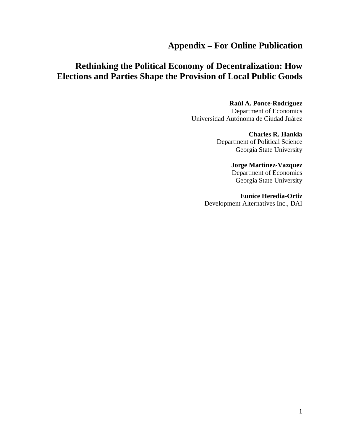# **Appendix – For Online Publication**

# **Rethinking the Political Economy of Decentralization: How Elections and Parties Shape the Provision of Local Public Goods**

**Raúl A. Ponce-Rodríguez** Department of Economics Universidad Autónoma de Ciudad Juárez

> **Charles R. Hankla** Department of Political Science Georgia State University

> > **Jorge Martinez-Vazquez** Department of Economics Georgia State University

**Eunice Heredia-Ortiz** Development Alternatives Inc., DAI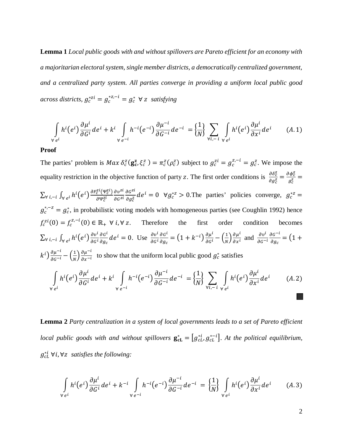**Lemma 1** *Local public goods with and without spillovers are Pareto efficient for an economy with a majoritarian electoral system, single member districts, a democratically centralized government, and a centralized party system. All parties converge in providing a uniform local public good across districts,*  $g_c^{*zi} = g_c^{*z,-i} = g_c^* \forall z$  *satisfying* 

$$
\int_{\forall e^{i}} h^{i}(e^{i}) \frac{\partial \mu^{i}}{\partial G^{i}} de^{i} + k^{i} \int_{\forall e^{-i}} h^{-i}(e^{-i}) \frac{\partial \mu^{-i}}{\partial G^{-i}} de^{-i} = \left\{ \frac{1}{N} \right\} \sum_{\forall i, -i} \int_{\forall e^{i}} h^{i}(e^{i}) \frac{\partial \mu^{i}}{\partial x^{i}} de^{i} \qquad (A.1)
$$

#### **Proof**

The parties' problem is  $Max \delta_c^z(g_c^z, \xi_c^z) = \pi_c^z(\rho_c^z)$  subject to  $g_c^{zi} = g_c^{z,-i} = g_c^z$ . We impose the equality restriction in the objective function of party z. The first order conditions is  $\frac{\partial \delta^z_c}{\partial q^z_c}$  $\frac{\partial \delta_{c}^{z}}{\partial g_{c}^{z}} = \frac{\partial \phi_{c}^{z}}{g_{c}^{z}}$  $\frac{r}{g_c^z} =$  $\sum_{\forall\;i,-i}\,\int_{\forall\;e^{\,i}}h^i\bigl(e^{\,i}\bigr)\frac{\partial F^{Z\iota}_{\mathcal{C}}(\Psi^{Z\iota}_{\mathcal{C}})}{\partial \Psi^{Z\iota}_{\mathcal{C}}}$  $∂Ψ<sup>Z</sup>$  $\partial v^z$  $\partial G^Z$  $\partial G^Z$  $\forall i, -i$   $\int_{\forall e^{i}} h^{i}(e^{i}) \frac{\partial^{i} c}{\partial \psi^{z}} \frac{\partial^{i} c}{\partial \psi^{z}} \frac{\partial^{i} d}{\partial \psi^{z}}$   $de^{i} = 0$   $\forall g^{*z}_{c} > 0$ . The parties' policies converge,  $g^{*z}_{c} = 0$  $g_c^{*,-z} = g_c^*$ , in probabilistic voting models with homogeneous parties (see Coughlin 1992) hence  $f_c^{zi}(0) = f_c^{z,-i}(0) \in \mathbb{R}_+$   $\forall i, \forall z$ . Therefore the first order condition becomes  $\sum_{\forall\;i,-i}\,\int_{\forall\;e^{\,i}}h^i\bigl(e^{\,i}\bigr)\frac{\partial\,v^i}{\partial\,a^{\,i}}$  $\partial G^l$  $\partial G^l$  $\forall i, -i$   $\int_{\forall e} i h^{i}(e^{i}) \frac{\partial v^{i}}{\partial G^{i}} \frac{\partial G^{i}}{\partial g_{c}} de^{i} = 0$ . Use  $\frac{\partial v^{i}}{\partial G^{i}}$  $\partial G^l$  $\frac{\partial G^l}{\partial g_c} = \left(1 + k^{-i}\right) \frac{\partial \mu^l}{\partial G^i} - \left(\frac{1}{N}\right) \frac{\partial \mu^l}{\partial x^i}$  and  $\frac{\partial v^l}{\partial G^{-i}}$  $\partial G^{-1}$  $\frac{1}{\partial g_c} = (1 +$  $k^{i}$ ) $\frac{\partial \mu^{-i}}{\partial g^{-i}} - \left(\frac{1}{N}\right) \frac{\partial \mu^{-i}}{\partial x^{-i}}$  to show that the uniform local public good  $g_c^*$  satisfies  $\mid h^{\iota}(e^{\iota})$  $\sigma$  $\mu$  $\partial G$  $\forall e^l$  $de^l + k^l$  |  $h^{-l}(e^{-l})$  $\partial \mu^ \partial G^ \forall e^{-l}$  $de^{-i} = \left\{\frac{1}{N}\right\}$  $\overline{N}$   $\sum_{\forall i=1}^{\mathfrak{p}} \int_{\mathfrak{p}} h^{i}(e^{i})$  $\forall e^{i}$  $\sigma$  $\mu$  $\overline{\partial x^i}$ de ∀ ,−  $(A. 2)$ 

**Lemma 2** *Party centralization in a system of local governments leads to a set of Pareto efficient local public goods with and without spillovers*  $\mathbf{g}_{\text{cL}}^* = [g_{cL}^{*t}, g_{cL}^{*-t}]$ . At the political equilibrium,  $g_{cL}^{*l}$  ∀*i*, ∀z satisfies the following:

$$
\int_{\forall e^{i}} h^{i}(e^{i}) \frac{\partial \mu^{i}}{\partial G^{i}} de^{i} + k^{-i} \int_{\forall e^{-i}} h^{-i}(e^{-i}) \frac{\partial \mu^{-i}}{\partial G^{-i}} de^{-i} = \left\{ \frac{1}{N} \right\} \int_{\forall e^{i}} h^{i}(e^{i}) \frac{\partial \mu^{i}}{\partial x^{i}} de^{i} \qquad (A.3)
$$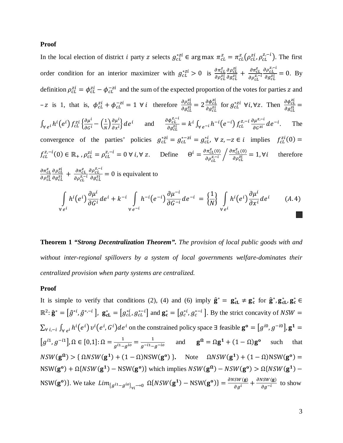#### **Proof**

In the local election of district *i* party *z* selects  $g_{cL}^{*zi} \in \arg \max \pi_{cL}^z = \pi_{cL}^z (\rho_{cL}^{zi}, \rho_{cL}^{z,-i})$ . The first order condition for an interior maximizer with  $g_{cL}^{*zi} > 0$  is  $\frac{\partial \pi_{cL}^2}{\partial \rho z_i^2}$  $\frac{\partial \pi^Z_{\mathit{CL}}}{\partial \rho^{Zl}_{\mathit{CL}}} \frac{\partial \rho^{Zl}_{\mathit{CL}}}{\partial g^{Zl}_{\mathit{CL}}}$  $\frac{\partial \rho_{cL}^{zl}}{\partial g_{cL}^{zi}} + \frac{\partial \pi_{cL}^{z}}{\partial \rho_{cL}^{z,-}}$  $\frac{\partial \pi_{cL}^Z}{\partial \rho_{cL}^{z,-i}} \frac{\partial \rho_{cL}^{z,-i}}{\partial g_{cL}^{zi}}$  $\frac{\partial \rho_{CL}}{\partial g_{CL}^{zi}} = 0$ . By definition  $\rho_{cL}^{z_1} = \phi_{cL}^{z_1} - \phi_{cL}^{-z_1}$  and the sum of the expected proportion of the votes for parties z and  $-z$  is 1, that is,  $\phi_{c}^{zi} + \phi_{c}^{-zi} = 1 \ \forall i$  therefore  $\frac{\partial \rho_{c}^{zi}}{\partial q_{ci}^{zi}}$  $\frac{\partial \rho_{cL}^{z_l}}{\partial g_{cL}^{zi}} = 2 \frac{\partial \phi_{cL}^{z_l}}{\partial g_{cL}^{zi}}$  $\frac{\partial \phi_{CL}^{z_l}}{\partial g_{CL}^{z_l}}$  for  $g_{cL}^{*zi}$   $\forall i, \forall z$ . Then  $\frac{\partial \phi_{CL}^{zi}}{\partial g_{CL}^{z_l}}$  $\frac{\partial g_{cl}^{z}}{\partial g_{cl}^{z}} =$  $\int_{\forall e^i} h^i(e^i) f_{cL}^{zi} \left\{ \frac{\partial \mu^i}{\partial g^i} - \left( \frac{1}{N} \right) \frac{\partial \mu^i}{\partial x^i} \right\} de^i$  and  $\frac{\partial \phi_{cL}^{z_i - 1}}{\partial g_{cL}^{zi}}$  $\frac{\partial \phi_{cL}^{z,-i}}{\partial g_{cL}^{zi}} = k^i \int_{\forall e^{-i}} h^{-i} (e^{-i}) f_{cL}^{z,-i} \frac{\partial \mu^{z,-i}}{\partial G^{zi}} d e^{-i}$ . The convergence of the parties' policies  $g_{cL}^{*z_1} = g_{cL}^{*-z_1} = g_{cL}^{*l}$ ,  $\forall z, -z \in i$  implies  $f_{cL}^{z_1}(0) =$  $f_{cL}^{z,-i}(0) \in \mathbb{R}_+$ ,  $\rho_{cL}^{zi} = \rho_{cL}^{z,-i} = 0 \ \forall \ i, \forall \ z$ . Define  $\Theta^i = \frac{\partial \pi_{cL}^z(0)}{\partial \rho_{cL}^{z,-i}}$  $\frac{\partial \pi_{CL}^Z(0)}{\partial \rho_{CL}^{z,-i}} \bigg/ \frac{\partial \pi_{CL}^Z(0)}{\partial \rho_{CL}^{zi}}$  $\frac{\partial n_{cL}(v)}{\partial \rho_{cL}^{zi}} = 1, \forall i$  therefore  $\partial \pi_{cL}^z$  $\frac{\partial \pi^Z_{\scriptscriptstyle CL}}{\partial \rho^{Zl}_{\scriptscriptstyle CL}} \frac{\partial \rho^{Zl}_{\scriptscriptstyle CL}}{\partial g^{Zl}_{\scriptscriptstyle CL}}$  $\frac{\partial \rho_{cL}^{zl}}{\partial g_{cL}^{zi}} + \frac{\partial \pi_{cL}^Z}{\partial \rho_{cL}^{z,-}}$  $\frac{\partial \pi_{cL}^Z}{\partial \rho_{cL}^{z,-i}} \frac{\partial \rho_{cL}^{z,-i}}{\partial g_{cL}^{zi}}$  $\frac{\partial \rho_{CL}}{\partial g_{CL}^{zi}} = 0$  is equivalent to  $\mid h^{\iota}(e^{\iota})$  $\sigma$  $\mu$  $\partial G$  $\forall e^l$  $de^{l} + k^{-l}$  |  $h^{-l}(e^{-l})$  $\partial \mu^ \partial G^ \forall e^{-l}$  $de^{-i} = \frac{1}{N}$  $\overline{N}$   $\Big\}$   $\Big\}$   $h^{i}(e^{i})$  $\forall e^{i}$  $\sigma$  $\mu$  $\partial x$  $(A.4)$ 

**Theorem 1** *"Strong Decentralization Theorem". The provision of local public goods with and without inter-regional spillovers by a system of local governments welfare-dominates their centralized provision when party systems are centralized.*

#### **Proof**

It is simple to verify that conditions (2), (4) and (6) imply  $\hat{\mathbf{g}}^* = \mathbf{g}_{cL}^* \neq \mathbf{g}_c^*$  for  $\hat{\mathbf{g}}^*$ ,  $\mathbf{g}_{cL}^*$ ,  $\mathbf{g}_c^* \in \mathbb{R}$  $\mathbb{R}^2$ :  $\hat{\mathbf{g}}^* = [\hat{g}^{*i}, \hat{g}^{*,-i}]$ ,  $\mathbf{g}_{cL}^* = [g_{cL}^{*i}, g_{cL}^{*i}]$  and  $\mathbf{g}_c^* = [g_c^{*i}, g_c^{*-i}]$ . By the strict concavity of  $NSW =$  $\sum_{\forall i, -i} \int_{\forall e^i} h^i(e^i) v^i(e^i, G^i) de^i$  on the constrained policy space ∃ feasible  $\mathbf{g}^{\mathbf{0}} = [g^{i\mathbf{0}}, g^{-i\mathbf{0}}], \mathbf{g}^{\mathbf{1}} =$  $[g^{i1}, g^{-i1}], \Omega \in [0,1]: \Omega = \frac{1}{g^{i1} - g^{i0}} = \frac{1}{g^{-i1} - g^{-i0}}$  and  $\mathbf{g}^{\Omega} = \Omega \mathbf{g}^{\mathbf{1}} + (1 - \Omega) \mathbf{g}^{\mathbf{0}}$  such that  $NSW(\mathbf{g}^{\Omega}) > \{ \Omega NSW(\mathbf{g}^1) + (1 - \Omega)NSW(\mathbf{g}^0) \}.$  Note  $\Omega NSW(\mathbf{g}^1) + (1 - \Omega)NSW(\mathbf{g}^0) =$  $NSW(\mathbf{g}^0) + \Omega\{NSW(\mathbf{g}^1) - NSW(\mathbf{g}^0)\}\$  which implies  $NSW(\mathbf{g}^0) - NSW(\mathbf{g}^0) > \Omega\{NSW(\mathbf{g}^1) -$ NSW( $\mathbf{g}^{\mathbf{0}}$ )}. We take  $Lim_{\{g^{i\mathbf{1}}-g^{i\mathbf{0}}\}_{\forall i}\to 0}$   $\Omega\{NSW(\mathbf{g}^{\mathbf{1}})-NSW(\mathbf{g}^{\mathbf{0}})\}=\frac{\partial NSW(\mathbf{g})}{\partial g^{i}}+\frac{\partial NSW(\mathbf{g})}{\partial g^{-i}}$  to show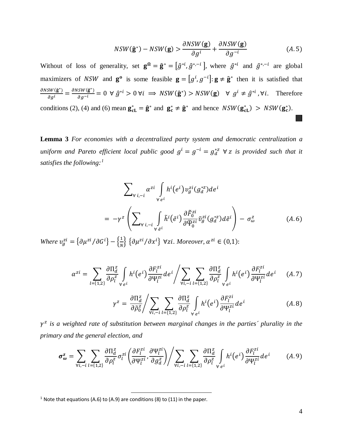$$
NSW(\hat{\mathbf{g}}^*) - NSW(\mathbf{g}) > \frac{\partial NSW(\mathbf{g})}{\partial g^i} + \frac{\partial NSW(\mathbf{g})}{\partial g^{-i}} \tag{A.5}
$$

Without of loss of generality, set  $\mathbf{g}^{\Omega} = \hat{\mathbf{g}}^* = [\hat{g}^{*i}, \hat{g}^{*,-i}]$ , where  $\hat{g}^{*i}$  and  $\hat{g}^{*,-i}$  are global maximizers of NSW and  $\mathbf{g}^{\circ}$  is some feasible  $\mathbf{g} = [g^{i}, g^{-i}]$ :  $\mathbf{g} \neq \hat{\mathbf{g}}^*$  then it is satisfied that  $\frac{\partial NSW(\hat{\mathbf{g}}^*)}{\partial g^i} = \frac{\partial NSW(\hat{\mathbf{g}}^*)}{\partial g^{-i}} = 0 \ \ \forall \ \hat{g}^{*i} > 0 \ \forall i \ \ \Rightarrow \ NSW(\hat{\mathbf{g}}^*) > NSW(\mathbf{g}) \ \ \ \forall \ \ g^i \neq \hat{g}^{*i}, \forall i.$  Therefore conditions (2), (4) and (6) mean  $\mathbf{g}_{cL}^* = \hat{\mathbf{g}}^*$  and  $\mathbf{g}_c^* \neq \hat{\mathbf{g}}^*$  and hence  $NSW(\mathbf{g}_{cL}^*) > NSW(\mathbf{g}_c^*)$ . ٠

**Lemma 3** *For economies with a decentralized party system and democratic centralization a*   $u$ *niform and Pareto efficient local public good*  $g^i = g^{-i} = g_d^{*z}$   $\forall$  z is provided such that it *satisfies the following:[1](#page-38-0)*

$$
\sum_{\forall i, -i} \alpha^{zi} \int_{\forall e^i} h^i(e^i) v^{zi}_g(g^{*z}_d) de^i
$$
\n
$$
= -\gamma^z \left( \sum_{\forall i, -i} \int_{\forall e^i} \tilde{h}^i(\tilde{e}^i) \frac{\partial \tilde{F}_0^{zi}}{\partial \tilde{\Psi}_0^{zi}} \tilde{v}_g^{zi}(g^{*z}_d) d\tilde{e}^i \right) - \sigma_{\omega}^z \tag{A.6}
$$

*Where*  $v_g^{zi} = \left\{\partial \mu^{zi} / \partial G^i\right\} - \left\{\frac{1}{N}\right\} \left\{\partial \mu^{zi} / \partial x^i\right\}$   $\forall$ zi. *Moreover*,  $\alpha^{zi} \in (0,1)$ :

$$
\alpha^{zi} = \sum_{l=\{1,2\}} \frac{\partial \Pi_d^z}{\partial \rho_l^z} \int_{\forall e^i} h^i(e^i) \frac{\partial F_l^{zi}}{\partial \Psi_l^{zi}} de^i / \sum_{\forall i,-i} \sum_{l=\{1,2\}} \frac{\partial \Pi_d^z}{\partial \rho_l^z} \int_{\forall e^i} h^i(e^i) \frac{\partial F_l^{zi}}{\partial \Psi_l^{zi}} de^i \qquad (A.7)
$$

$$
\gamma^z = \frac{\partial \Pi_d^z}{\partial \tilde{\rho}_0^z} / \sum_{\forall i, -i} \sum_{l=\{1,2\}} \frac{\partial \Pi_d^z}{\partial \rho_l^z} \int_{\forall e^l} h^i(e^i) \frac{\partial F_l^{zi}}{\partial \Psi_l^{zi}} de^i \tag{A.8}
$$

 $\gamma^z$  is a weighted rate of substitution between marginal changes in the parties' plurality in the *primary and the general election, and*

$$
\sigma_{\omega}^{z} = \sum_{\forall i, -i} \sum_{l=\{1,2\}} \frac{\partial \Pi_{d}^{z}}{\partial \rho_{l}^{z}} \sigma_{l}^{zi} \left( \frac{\partial F_{l}^{zi}}{\partial \Psi_{l}^{zi}}, \frac{\partial \Psi_{l}^{zi}}{\partial g_{d}^{z}} \right) / \sum_{\forall i, -i} \sum_{l=\{1,2\}} \frac{\partial \Pi_{d}^{z}}{\partial \rho_{l}^{z}} \int_{\forall e^{i}} h^{i}(e^{i}) \frac{\partial F_{l}^{zi}}{\partial \Psi_{l}^{zi}} de^{i} \qquad (A.9)
$$

<span id="page-38-0"></span><sup>&</sup>lt;sup>1</sup> Note that equations (A.6) to (A.9) are conditions (8) to (11) in the paper.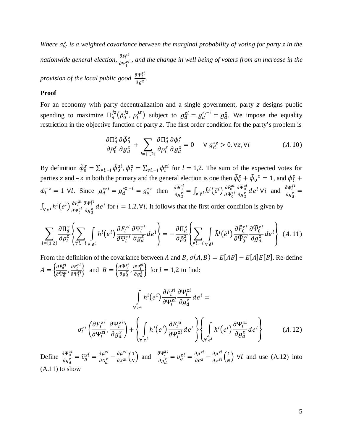Where  $\sigma_w^z$  is a weighted covariance between the marginal probability of voting for party  $z$  in the *nationwide general election,*   $\frac{\partial P_l}{\partial \Psi_l^{\text{Z}}}$ , and the change in well being of voters from an increase in the *provision of the local public good*  $\frac{\partial \Psi_l^{Zl}}{\partial g^z}$ .

### **Proof**

For an economy with party decentralization and a single government, party z designs public spending to maximize  $\Pi_d^{Jz}(\tilde{\rho}_0^{Jz}, \rho_l^{Jz})$  subject to  $g_d^{zi} = g_d^{z,-i} = g_d^z$ . We impose the equality restriction in the objective function of party z. The first order condition for the party's problem is

$$
\frac{\partial \Pi_d^z}{\partial \tilde{\rho}_0^z} \frac{\partial \tilde{\phi}_0^z}{\partial g_d^z} + \sum_{l=\{1,2\}} \frac{\partial \Pi_d^z}{\partial \rho_l^z} \frac{\partial \phi_l^z}{\partial g_d^z} = 0 \quad \forall g_d^{*z} > 0, \forall z, \forall i
$$
\n(A. 10)

By definition  $\tilde{\phi}_0^z = \sum_{\forall i, -i} \tilde{\phi}_0^{z_i}, \phi_l^z = \sum_{\forall i, -i} \phi_l^{z_i}$  for  $l = 1,2$ . The sum of the expected votes for parties z and  $-z$  in both the primary and the general election is one then  $\tilde{\phi}_0^z + \tilde{\phi}_0^{-z} = 1$ , and  $\phi_l^z +$  $\phi_l^{-z} = 1$  ∀l. Since  $g_d^{*zi} = g_d^{*z} - i = g_d^{*z}$  then  $\frac{\partial \widetilde{\phi}_0^z}{\partial g_d^z}$  $\frac{\partial \varphi_0}{\partial g_d^z} = \int_{\forall \tilde{e}^i} \tilde{h}^i(\tilde{e}^i)$  $\partial \tilde{F}^Z_0$  $\frac{\partial \tilde{F}_0^{Zl}}{\partial \widetilde{\Psi}_0^{Zl}} \frac{\partial \widetilde{\Psi}_0^{Z}}{\partial g_d^Z}$  $\frac{\partial \widetilde{\Psi}_{0}^{zi}}{\partial g_{d}^{z}}de^{i}$   $\forall i$  and  $\frac{\partial \phi_{l}^{z}}{\partial g_{d}^{z}}$  $\frac{\partial}{\partial g_d^z} =$  $\int_{\forall\; e^{\,i}}h^i\!\left(e^{\,i}\right)\!\frac{\partial F^{\text{z}}_l}{\partial \Psi^{\text{z}}_l}$  $\frac{\partial F^{Zl}_l}{\partial \Psi^{Zl}_l}\frac{\partial \Psi^{Z}_l}{\partial g^Z_d}$  $\frac{\partial^2 I}{\partial g_d^2}$  de<sup>*i*</sup> for  $l = 1,2, \forall i$ . It follows that the first order condition is given by

$$
\sum_{l=\{1,2\}} \frac{\partial \Pi_d^z}{\partial \rho_l^z} \left\{ \sum_{\forall i,-i} \int_{\gamma e^i} h^i(e^i) \frac{\partial F_l^{zi}}{\partial \Psi_l^{zi}} \frac{\partial \Psi_l^{zi}}{\partial g_d^z} de^i \right\} = -\frac{\partial \Pi_d^z}{\partial \tilde{\rho}_0^z} \left\{ \sum_{\forall i,-i} \int_{\gamma e^i} \tilde{h}^i(\tilde{e}^i) \frac{\partial \tilde{F}_0^{zi}}{\partial \tilde{\Psi}_0^{zi}} \frac{\partial \tilde{\Psi}_0^{zi}}{\partial g_d^z} de^i \right\} (A.11)
$$

From the definition of the covariance between A and B,  $\sigma(A, B) = E[AB] - E[A]E[B]$ . Re-define  $A=\Big\{\frac{\partial \tilde{F}^z_0}{\partial \widetilde{\Psi}^z_s}$  $\frac{\partial \tilde{F}_0^{Z\dot{t}}}{\partial \widetilde{\Psi}_0^{Z\dot{t}}}$ ,  $\frac{\partial F_l^{Z}}{\partial \Psi_l^{Z}}$  $\frac{\partial F_l^{z_l}}{\partial \Psi_l^{zi}}$  and  $B = \begin{cases} \frac{\partial \widetilde{\Psi}_0^z}{\partial g_d^z} \end{cases}$  $\frac{\partial \widetilde{\Psi}^{Zl}_0}{\partial g^Z_d}$  ,  $\frac{\partial \Psi^Z_l}{\partial g^Z_d}$  $\frac{\partial^2 I_l}{\partial g_d^2}$  for  $l = 1,2$  to find:

$$
\int_{\forall e^{i}} h^{i}(e^{i}) \frac{\partial F_{l}^{zi}}{\partial \Psi_{l}^{zi}} \frac{\partial \Psi_{l}^{zi}}{\partial g_{d}^{z}} de^{i} =
$$
\n
$$
\sigma_{l}^{zi} \left( \frac{\partial F_{l}^{zi}}{\partial \Psi_{l}^{zi}}, \frac{\partial \Psi_{l}^{zi}}{\partial g_{d}^{z}} \right) + \left\{ \int_{\forall e^{i}} h^{i}(e^{i}) \frac{\partial F_{l}^{zi}}{\partial \Psi_{l}^{zi}} de^{i} \right\} \left\{ \int_{\forall e^{i}} h^{i}(e^{i}) \frac{\partial \Psi_{l}^{zi}}{\partial g_{d}^{z}} de^{i} \right\} \qquad (A. 12)
$$

Define  $\frac{\partial \widetilde{\Psi}_0^z}{\partial z^z}$  $\frac{\partial \widetilde{\Psi}_{0}^{zi}}{\partial g_{d}^{z}} = \widetilde{v}_{g}^{zi} = \frac{\partial \widetilde{\mu}^{zi}}{\partial c_{d}^{z}} - \frac{\partial \widetilde{\mu}^{zi}}{\partial \widetilde{x}^{zi}} \left(\frac{1}{N}\right)$  and  $\frac{\partial \Psi_{l}^{z}}{\partial g_{d}^{z}}$  $\frac{\partial \Psi_l^{Zl}}{\partial g_d^z} = v_g^{zi} = \frac{\partial \mu^{Zl}}{\partial g^z} - \frac{\partial \mu^{Zl}}{\partial x^{zi}} \left(\frac{1}{N}\right) \forall l$  and use (A.12) into  $(A.11)$  to show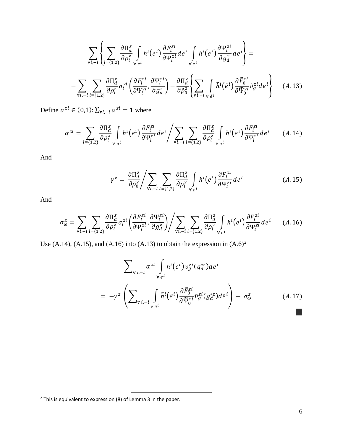$$
\sum_{\forall i,-i} \left\{ \sum_{l=\{1,2\}} \frac{\partial \Pi_d^z}{\partial \rho_l^z} \int_{\forall e^l} h^i(e^i) \frac{\partial F_l^{zi}}{\partial \Psi_l^{zi}} de^i \int_{\forall e^l} h^i(e^i) \frac{\partial \Psi_l^{zi}}{\partial g_d^z} de^i \right\} =
$$
  

$$
-\sum_{\forall i,-i} \sum_{l=\{1,2\}} \frac{\partial \Pi_d^z}{\partial \rho_l^z} \sigma_l^{zi} \left( \frac{\partial F_l^{zi}}{\partial \Psi_l^{zi}} \frac{\partial \Psi_l^{zi}}{\partial g_d^z} \right) - \frac{\partial \Pi_d^z}{\partial \tilde{\rho}_0^z} \left\{ \sum_{\forall i,-i} \int_{\forall e^i} \tilde{h}^i(\tilde{e}^i) \frac{\partial \tilde{F}_0^{zi}}{\partial \tilde{\Psi}_0^{zi}} \tilde{v}_g^{zi} de^i \right\} \quad (A.13)
$$

Define  $\alpha^{zi} \in (0,1)$ :  $\sum_{\forall i,-i} \alpha^{zi} = 1$  where

$$
\alpha^{zi} = \sum_{l=\{1,2\}} \frac{\partial \Pi_d^z}{\partial \rho_l^z} \int_{\forall e^i} h^i(e^i) \frac{\partial F_l^{zi}}{\partial \Psi_l^{zi}} de^i / \sum_{\forall i,-i} \sum_{l=\{1,2\}} \frac{\partial \Pi_d^z}{\partial \rho_l^z} \int_{\forall e^i} h^i(e^i) \frac{\partial F_l^{zi}}{\partial \Psi_l^{zi}} de^i \qquad (A.14)
$$

And

$$
\gamma^z = \frac{\partial \Pi_d^z}{\partial \tilde{\rho}_0^z} / \sum_{\forall i, -i} \sum_{l = \{1, 2\}} \frac{\partial \Pi_d^z}{\partial \rho_l^z} \int_{\forall e^l} h^i(e^i) \frac{\partial F_l^{zi}}{\partial \Psi_l^{zi}} de^i \tag{A.15}
$$

And

$$
\sigma_{\omega}^{z} = \sum_{\forall i, -i} \sum_{l=\{1,2\}} \frac{\partial \Pi_{d}^{z}}{\partial \rho_{l}^{z}} \sigma_{l}^{zi} \left( \frac{\partial F_{l}^{zi}}{\partial \Psi_{l}^{zi}}, \frac{\partial \Psi_{l}^{zi}}{\partial g_{d}^{z}} \right) / \sum_{\forall i, -i} \sum_{l=\{1,2\}} \frac{\partial \Pi_{d}^{z}}{\partial \rho_{l}^{z}} \int_{\forall e^{i}} h^{i}(e^{i}) \frac{\partial F_{l}^{zi}}{\partial \Psi_{l}^{zi}} de^{i} \qquad (A.16)
$$

Use (A.14), (A.15), and (A.16) into (A.13) to obtain the expression in  $(A.6)^2$ 

$$
\sum_{\forall i, -i} \alpha^{zi} \int_{\forall e^{i}} h^{i}(e^{i}) \nu_{g}^{zi}(g_{d}^{*z}) de^{i}
$$
\n
$$
= -\gamma^{z} \left( \sum_{\forall i, -i} \int_{\forall e^{i}} \tilde{h}^{i}(\tilde{e}^{i}) \frac{\partial \tilde{F}_{0}^{zi}}{\partial \tilde{\Psi}_{0}^{zi}} \tilde{\nu}_{g}^{zi}(g_{d}^{*z}) d\tilde{e}^{i} \right) - \sigma_{\omega}^{z}
$$
\n(A. 17)

<span id="page-40-0"></span><sup>&</sup>lt;sup>2</sup> This is equivalent to expression (8) of Lemma 3 in the paper.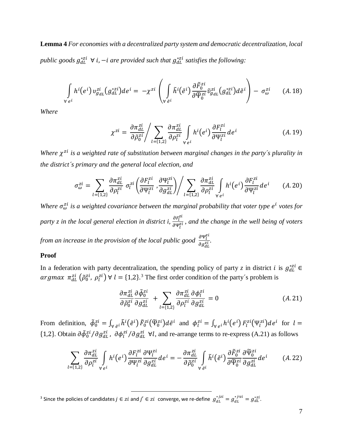**Lemma 4** *For economies with a decentralized party system and democratic decentralization, local public goods*  $g_{dL}^{*z_l}$  ∀ *i*,  $-i$  *are provided such that*  $g_{dL}^{*z_l}$  *satisfies the following:* 

$$
\int_{\forall e^{i}} h^{i}(e^{i}) \nu_{g_{dL}}^{zi}(g_{dL}^{*zi}) de^{i} = -\chi^{zi} \left( \int_{\forall \hat{e}^{i}} \tilde{h}^{i}(\tilde{e}^{i}) \frac{\partial \tilde{F}_{0}^{zi}}{\partial \widetilde{\Psi}_{0}^{zi}} \tilde{\nu}_{g_{dL}}^{zi}(g_{dL}^{*zi}) d\tilde{e}^{i} \right) - \sigma_{\omega}^{zi} \qquad (A.18)
$$

*Where*

$$
\chi^{zi} = \frac{\partial \pi_{dL}^{zi}}{\partial \tilde{\rho}_0^{zi}} / \sum_{l=\{1,2\}} \frac{\partial \pi_{dL}^{zi}}{\partial \rho_l^{zi}} \int_{\forall e^l} h^i(e^i) \frac{\partial F_l^{zi}}{\partial \Psi_l^{zi}} de^i \tag{A.19}
$$

*Where*  $\chi^{zi}$  *is a weighted rate of substitution between marginal changes in the party's plurality in the district´s primary and the general local election, and*

$$
\sigma_{\omega}^{zi} = \sum_{l=\{1,2\}} \frac{\partial \pi_{dL}^{zi}}{\partial \rho_l^{zi}} \sigma_l^{zi} \left( \frac{\partial F_l^{zi}}{\partial \Psi_l^{zi}} , \frac{\partial \Psi_l^{zi}}{\partial g_{dL}^{zi}} \right) / \sum_{l=\{1,2\}} \frac{\partial \pi_{dL}^{zi}}{\partial \rho_l^{zi}} \int_{\forall e^l} h^i(e^i) \frac{\partial F_l^{zi}}{\partial \Psi_l^{zi}} de^i \qquad (A.20)
$$

Where  $\sigma_{\omega}^{z_1}$  is a weighted covariance between the marginal probability that voter type  $e^{\iota}$  votes for *party z in the local general election in district i,*  $\frac{\partial F_l^2}{\partial m^2}$  $\frac{\partial P_l}{\partial \Psi_l^{zi}}$ , and the change in the well being of voters *from an increase in the provision of the local public good*  $\frac{\partial \Psi_l^2}{\partial z^2}$  $\frac{\partial \mathbf{q}_l}{\partial g_{dL}^{zi}}$ .

#### **Proof**

In a federation with party decentralization, the spending policy of party *z* in district *i* is  $g_{dL}^{*z_1} \in$ rgmax  $\pi_{dL}^{zi}$  ( $\tilde{\rho}_0^{zi}$ ,  $\rho_l^{zi}$ )  $\forall$   $l = \{1,2\}$ .<sup>[3](#page-41-0)</sup> The first order condition of the party's problem is

$$
\frac{\partial \pi_{dL}^{zi}}{\partial \tilde{\rho}_0^{zi}} \frac{\partial \tilde{\phi}_0^{zi}}{\partial g_{dL}^{zi}} + \sum_{l=\{1,2\}} \frac{\partial \pi_{dL}^{zi}}{\partial \rho_l^{zi}} \frac{\partial \phi_l^{zi}}{\partial g_{dL}^{zi}} = 0
$$
\n(A.21)

From definition,  $\phi_0^{z_l} = \int_{\forall \tilde{e}^l} h^i(\tilde{e}^i) \tilde{F}_0^{z_l}(\Psi_0^{z_l}) d\tilde{e}^i$  and  $\phi_l^{z_l} = \int_{\forall e^l} h^i(e^i) F_l^{z_l}(\Psi_l^{z_l}) d e^i$  for  $l =$ {1,2}. Obtain  $\partial \phi_0^{z_l} / \partial g_{dL}^{z_l}$ ,  $\partial \phi_l^{z_l} / \partial g_{dL}^{z_l}$   $\forall l$ , and re-arrange terms to re-express (A.21) as follows

$$
\sum_{l=\{1,2\}} \frac{\partial \pi_{dL}^{zi}}{\partial \rho_l^{zi}} \int_{\forall e^l} h^i(e^i) \frac{\partial F_l^{zi}}{\partial \Psi_l^{zi}} \frac{\partial \Psi_l^{zi}}{\partial g_{dL}^{zi}} de^i = -\frac{\partial \pi_{dL}^{zi}}{\partial \tilde{\rho}_0^{zi}} \int_{\forall \tilde{e}^l} \tilde{h}^i(\tilde{e}^i) \frac{\partial \tilde{F}_0^{zi}}{\partial \tilde{\Psi}_0^{zi}} \frac{\partial \tilde{\Psi}_0^{zi}}{\partial g_{dL}^{zi}} de^i \qquad (A.22)
$$

<span id="page-41-0"></span>3 Since the policies of candidates  $j \in zi$  and  $j' \in zi$  converge, we re-define  $g_{dL}^{*jzi} = g_{dL}^{*jizi} = g_{dL}^{*zi}$ .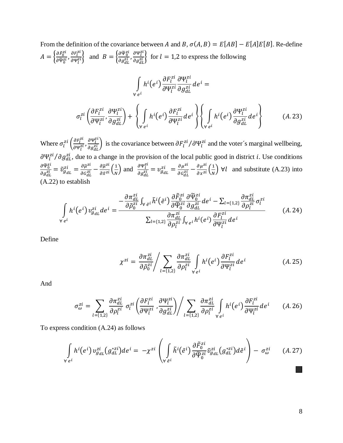From the definition of the covariance between A and B,  $\sigma(A, B) = E[AB] - E[A]E[B]$ . Re-define  $A = \left\{ \frac{\partial \tilde{F}_0^{zi}}{\partial \tilde{\Psi}_0^{zi}}, \frac{\partial F_l^{zi}}{\partial \Psi_l^{zi}} \right\}$  and  $B = \left\{ \frac{\partial \tilde{\Psi}_0^{zi}}{\partial g_{di}} \right\}$ ,  $\frac{\partial \Psi_l^{zi}}{\partial g_{di}}$  for  $l = 1,2$  to express the following

$$
\int_{\forall e^{i}} h^{i}(e^{i}) \frac{\partial F_{l}^{zi}}{\partial \Psi_{l}^{zi}} \frac{\partial \Psi_{l}^{zi}}{\partial g_{dL}^{zi}} de^{i} =
$$
\n
$$
\sigma_{l}^{zi} \left( \frac{\partial F_{l}^{zi}}{\partial \Psi_{l}^{zi}} \frac{\partial \Psi_{l}^{zi}}{\partial g_{dL}^{zi}} \right) + \left\{ \int_{\forall e^{i}} h^{i}(e^{i}) \frac{\partial F_{l}^{zi}}{\partial \Psi_{l}^{zi}} de^{i} \right\} \left\{ \int_{\forall e^{i}} h^{i}(e^{i}) \frac{\partial \Psi_{l}^{zi}}{\partial g_{dL}^{zi}} de^{i} \right\} \qquad (A. 23)
$$

Where  $\sigma_l^{zi} \left( \frac{\partial F_l^{zi}}{\partial \Psi_l^{zi}} \right)$ , is the covariance between  $\partial F_l^{zi} / \partial \Psi_l^{zi}$  and the voter's marginal wellbeing,  $\frac{\partial \Psi_l^{zi}}{\partial g_{dL}^{zi}}$ , due to a change in the provision of the local public good in district *i*. Use conditions  $\frac{\partial \tilde{\Psi}_{0}^{zi}}{\partial g_{dL}^{zi}} = \tilde{v}_{g}^{zi} = \frac{\partial \tilde{\mu}^{zi}}{\partial g_{dL}^{zi}} - \frac{\partial \tilde{\mu}^{zi}}{\partial \tilde{x}^{zi}} \left(\frac{1}{N}\right)$  and  $\frac{\partial \Psi_{l}^{zi}}{\partial g_{dL}^{zi}} = v_{g_{dL}}^{zi} = \frac{\partial \mu^{zi}}{\partial g_{dL}^{zi}} - \frac{\partial \mu^{zi}}{\partial x^{zi}} \left(\frac{1}{N}\right) \forall l$  and substitute (A.23) into  $(A.22)$  to establish

$$
\int_{\forall e^{i}} h^{i}(e^{i}) \, v_{g_{dL}}^{zi} de^{i} = \frac{-\frac{\partial \pi_{dL}^{zi}}{\partial \tilde{\rho}_{0}^{zi}} \int_{\forall e^{i}} \tilde{h}^{i}(\tilde{e}^{i}) \frac{\partial \tilde{F}_{0}^{zi}}{\partial \tilde{\Psi}_{0}^{zi}} \frac{\partial \tilde{\Psi}_{0}^{zi}}{\partial g_{dL}^{zi}} de^{i} - \sum_{l=\{1,2\}} \frac{\partial \pi_{dL}^{zi}}{\partial \rho_{l}^{zi}} \sigma_{l}^{zi}}{\frac{\partial \pi_{dL}^{zi}}{\partial \rho_{l}^{zi}} \int_{\forall e^{i}} h^{i}(e^{i}) \frac{\partial F_{l}^{zi}}{\partial \Psi_{l}^{zi}} de^{i}} \qquad (A. 24)
$$

Define

$$
\chi^{zi} = \frac{\partial \pi_{dL}^{zi}}{\partial \tilde{\rho}_0^{zi}} / \sum_{l=\{1,2\}} \frac{\partial \pi_{dL}^{zi}}{\partial \rho_l^{zi}} \int_{\forall e^l} h^i(e^i) \frac{\partial F_l^{zi}}{\partial \Psi_l^{zi}} de^i \tag{A.25}
$$

And

$$
\sigma_{\omega}^{zi} = \sum_{l=\{1,2\}} \frac{\partial \pi_{dL}^{zi}}{\partial \rho_l^{zi}} \sigma_l^{zi} \left( \frac{\partial F_l^{zi}}{\partial \Psi_l^{zi}} , \frac{\partial \Psi_l^{zi}}{\partial g_{dL}^{zi}} \right) / \sum_{l=\{1,2\}} \frac{\partial \pi_{dL}^{zi}}{\partial \rho_l^{zi}} \int_{\forall e^l} h^i(e^i) \frac{\partial F_l^{zi}}{\partial \Psi_l^{zi}} de^i \qquad (A.26)
$$

To express condition (A.24) as follows

$$
\int_{\forall e^{i}} h^{i}(e^{i}) \nu_{g_{dL}}^{zi}(g_{dL}^{*zi}) de^{i} = -\chi^{zi} \left( \int_{\forall \tilde{e}^{i}} \tilde{h}^{i}(\tilde{e}^{i}) \frac{\partial \tilde{F}_{0}^{zi}}{\partial \tilde{\Psi}_{0}^{zi}} \tilde{\nu}_{g_{dL}}^{zi}(g_{dL}^{*zi}) d\tilde{e}^{i} \right) - \sigma_{\omega}^{zi} \qquad (A. 27)
$$

 $\mathcal{L}_{\mathcal{A}}$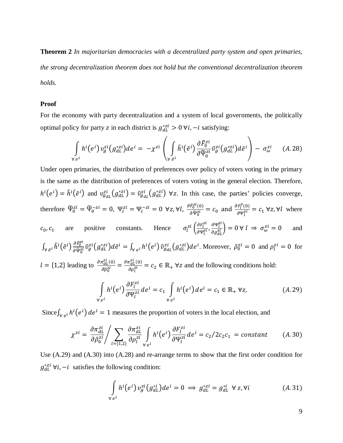**Theorem 2** *In majoritarian democracies with a decentralized party system and open primaries, the strong decentralization theorem does not hold but the conventional decentralization theorem holds.*

#### **Proof**

For the economy with party decentralization and a system of local governments, the politically optimal policy for party z in each district is  $g_{dL}^{*z} > 0 \forall i, -i$  satisfying:

$$
\int_{\forall e^{i}} h^{i}(e^{i}) \, v_{g}^{zi}(g_{dL}^{*zi}) de^{i} = -\chi^{zi} \left( \int_{\forall \tilde{e}^{i}} \tilde{h}^{i}(\tilde{e}^{i}) \frac{\partial \tilde{F}_{0}^{zi}}{\partial \tilde{\Psi}_{0}^{zi}} \tilde{v}_{g}^{zi}(g_{dL}^{*zi}) d\tilde{e}^{i} \right) - \sigma_{\omega}^{zi} \qquad (A.28)
$$

Under open primaries, the distribution of preferences over policy of voters voting in the primary is the same as the distribution of preferences of voters voting in the general election. Therefore,  $h^{i}(e^{i}) = h^{i}(\tilde{e}^{i})$  and  $v_{gal}^{zi}(g_{dL}^{*z}) = \tilde{v}_{gal}^{zi}(g_{dL}^{*z}) \forall z$ . In this case, the parties' policies converge, therefore  $\widetilde{\Psi}_0^{zi} = \widetilde{\Psi}_0^{-zi} = 0$ ,  $\Psi_l^{zi} = \Psi_l^{-zi} = 0$   $\forall z, \forall l$ ,  $\frac{\partial \widetilde{F}_0^{zi}(0)}{\partial \widetilde{\Psi}_0^{zi}}$  $\frac{\tilde{F}_0^{Zl}(0)}{\partial \tilde{\Psi}_0^{Zi}} = c_0$  and  $\frac{\partial F_l^Z(0)}{\partial \Psi_l^{Zi}}$  $rac{v_1(\theta)}{\partial \Psi_l^{zi}} = c_1 \; \forall z, \forall l$  where  $c_0, c_1$  are positive constants. Hence  $\sigma_l^{zi} \left( \frac{\partial F_l^z}{\partial \Psi_l^z} \right)$  $\frac{\partial F_l^{z_l}}{\partial \Psi_l^{zi}}, \frac{\partial \Psi_l^{z}}{\partial g_{dl}^{zi}}$  $\left(\frac{\partial \mathbf{r}_l}{\partial g_{dL}^{zi}}\right) = 0 \ \forall \ l \Rightarrow \sigma_{\omega}^{zi} = 0 \text{ and}$  $\int_{\forall \tilde{e}^i} h^i(\tilde{e}^i)$  $\partial \tilde{F}^Z_0$  $\frac{\partial F_0}{\partial \tilde{\psi}_0^{z_1}} \tilde{v}_g^{z_1}(g_{dL}^{z_2}) d\tilde{e}^i = \int_{\forall e_i} h^i(e^i) \tilde{v}_{g_{dL}}^{z_1}(g_{dL}^{z_2}) d e^i$ . Moreover,  $\tilde{\rho}_0^{z_1} = 0$  and  $\rho_l^{z_1} = 0$  for  $l = \{1,2\}$  leading to  $\frac{\partial \pi_{dL}^{zl}(0)}{\partial \delta^{zl}_n}$  $rac{\sigma_{dL}^{z_l}(0)}{\partial \widetilde{\rho}_0^{zi}} = \frac{\partial \pi_{dL}^{z_l}(0)}{\partial \rho_l^{zi}}$  $\frac{c_{dL}(v)}{\partial \rho_l^{zi}} = c_2 \in \mathbb{R}_+$   $\forall z$  and the following conditions hold:  $\int h^{i}(e^{i}) \frac{\partial F_{l}^{z}}{\partial \mathbf{w}^{z}}$  $\frac{\partial \Psi_{\ell}^{zi}}{\partial \Psi_{\ell}^{zi}}de^{\iota} = c_1 \int_{\forall e_i} h^{\iota}(e^{\iota}) de^{\iota} = c_1 \in \mathbb{R}_+ \forall z,$  (A. 29)

$$
\forall e^{i} \qquad \forall i
$$

Since  $\int_{\forall e^i} h^i(e^i) de^i = 1$  measures the proportion of voters in the local election, and

$$
\chi^{zi} = \frac{\partial \pi_{dL}^{zi}}{\partial \tilde{\rho}_0^{zi}} / \sum_{l=\{1,2\}} \frac{\partial \pi_{dL}^{zi}}{\partial \rho_l^{zi}} \int_{\forall e^l} h^i(e^i) \frac{\partial F_l^{zi}}{\partial \Psi_l^{zi}} de^i = c_2 / 2c_2 c_1 = constant \qquad (A.30)
$$

Use (A.29) and (A.30) into (A.28) and re-arrange terms to show that the first order condition for  $g_{dL}^{*Zt}$   $\forall i, -i$  satisfies the following condition:

$$
\int_{\forall e^{i}} h^{i}(e^{i}) \, v_{g}^{zi}(g_{dL}^{*i}) de^{i} = 0 \implies g_{dL}^{*zi} = g_{dL}^{*i} \ \forall \ z, \forall i
$$
\n(A.31)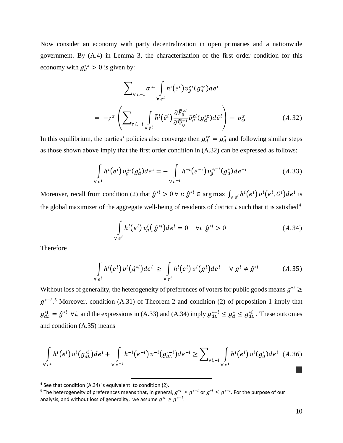Now consider an economy with party decentralization in open primaries and a nationwide government. By (A.4) in Lemma 3, the characterization of the first order condition for this economy with  $g_d^{*z} > 0$  is given by:

$$
\sum_{\forall i,-i} \alpha^{zi} \int_{\forall e^i} h^i(e^i) v_g^{zi}(g_d^{*z}) de^i
$$
\n
$$
= -\gamma^z \left( \sum_{\forall i,-i} \int_{\forall e^i} \tilde{h}^i(\tilde{e}^i) \frac{\partial \tilde{F}_0^{zi}}{\partial \tilde{\Psi}_0^{zi}} \tilde{v}_g^{zi}(g_d^{*z}) d\tilde{e}^i \right) - \sigma_\omega^z \qquad (A.32)
$$

In this equilibrium, the parties' policies also converge then  $g_d^* = g_d^*$  and following similar steps as those shown above imply that the first order condition in (A.32) can be expressed as follows:

$$
\int_{\forall e^{i}} h^{i}(e^{i}) \, v_{g}^{zi}(g_{d}^{*}) de^{i} = - \int_{\forall e^{-i}} h^{-i}(e^{-i}) \, v_{g}^{z, -i}(g_{d}^{*}) de^{-i} \tag{A.33}
$$

Moreover, recall from condition (2) that  $\hat{g}^{*i} > 0$   $\forall i: \hat{g}^{*i} \in \arg \max \int_{\forall e^i} h^i(e^i) v^i(e^i, G^i) de^i$  is the global maximizer of the aggregate well-being of residents of district  $i$  such that it is satisfied<sup>[4](#page-44-0)</sup>

$$
\int_{\forall e^{i}} h^{i}(e^{i}) v_{g}^{i}(\hat{g}^{*i}) d e^{i} = 0 \quad \forall i \ \hat{g}^{*i} > 0
$$
\n(A.34)

Therefore

$$
\int_{\forall e^{i}} h^{i}(e^{i}) v^{i}(\hat{g}^{*i}) de^{i} \geq \int_{\forall e^{i}} h^{i}(e^{i}) v^{i}(g^{i}) de^{i} \quad \forall g^{i} \neq \hat{g}^{*i}
$$
 (A. 35)

Without loss of generality, the heterogeneity of preferences of voters for public goods means  $g^{i} \geq$  $g^{*-i}$ .<sup>[5](#page-44-1)</sup> Moreover, condition (A.31) of Theorem 2 and condition (2) of proposition 1 imply that  $g_{dL}^{*l} = \hat{g}^{*l}$   $\forall i$ , and the expressions in (A.33) and (A.34) imply  $g_{dL}^{*l} \leq g_d^* \leq g_{dL}^{*l}$ . These outcomes and condition (A.35) means

$$
\int_{\forall e^{i}} h^{i}(e^{i}) v^{i}(g_{dL}^{*i}) de^{i} + \int_{\forall e^{-i}} h^{-i}(e^{-i}) v^{-i}(g_{dL}^{*-i}) de^{-i} \ge \sum_{\forall i, -i} \int_{\forall e^{i}} h^{i}(e^{i}) v^{i}(g_{d}^{*}) de^{i} \quad (A. 36)
$$

<span id="page-44-1"></span><span id="page-44-0"></span> <sup>4</sup> See that condition (A.34) is equivalent to condition (2).

<sup>&</sup>lt;sup>5</sup> The heterogeneity of preferences means that, in general,  $g^{*i} \geq g^{*-i}$  or  $g^{*i} \leq g^{*-i}$ . For the purpose of our analysis, and without loss of generality, we assume  $g^{*i} \geq g^{*-i}$ .